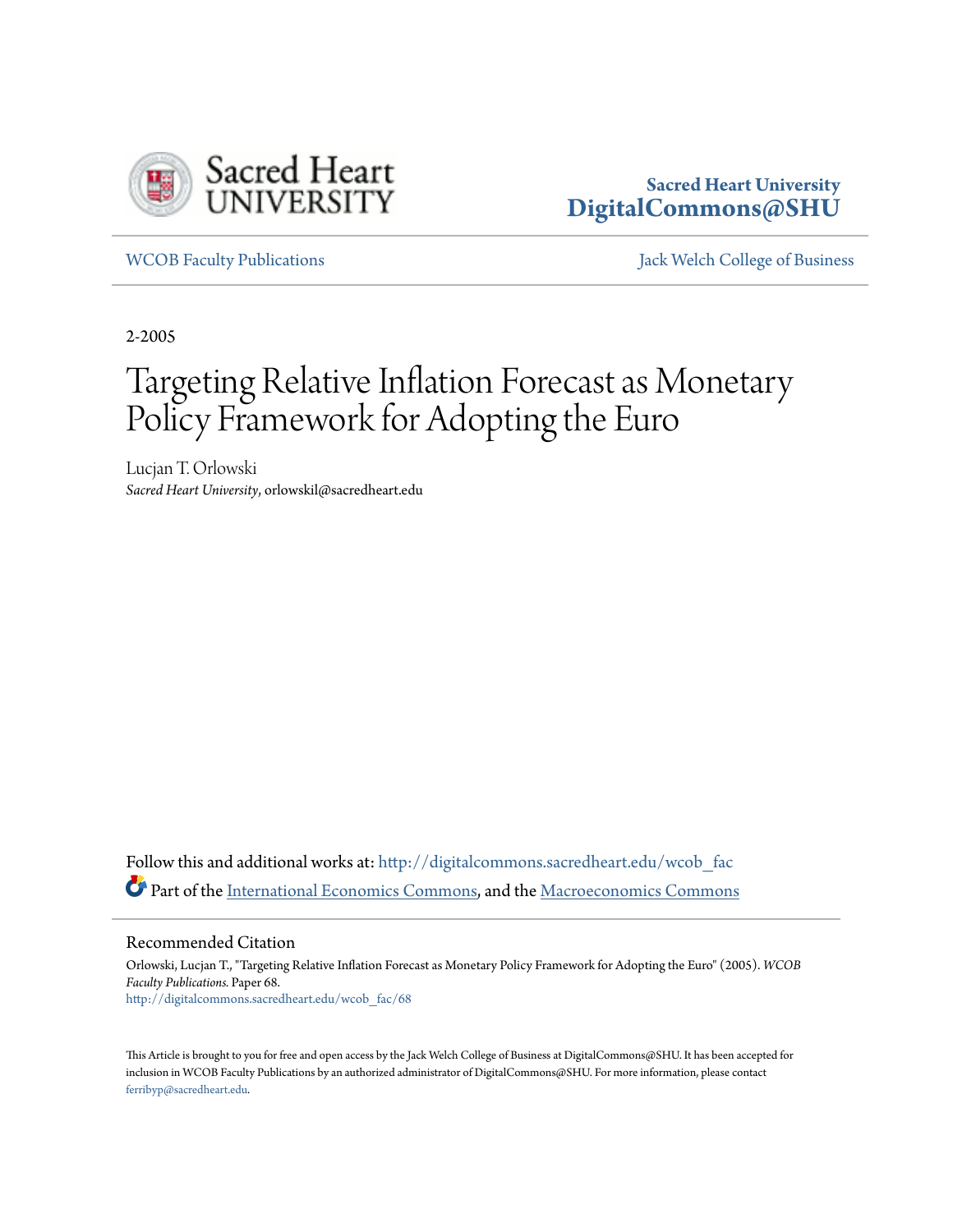

## **Sacred Heart University [DigitalCommons@SHU](http://digitalcommons.sacredheart.edu?utm_source=digitalcommons.sacredheart.edu%2Fwcob_fac%2F68&utm_medium=PDF&utm_campaign=PDFCoverPages)**

[WCOB Faculty Publications](http://digitalcommons.sacredheart.edu/wcob_fac?utm_source=digitalcommons.sacredheart.edu%2Fwcob_fac%2F68&utm_medium=PDF&utm_campaign=PDFCoverPages) [Jack Welch College of Business](http://digitalcommons.sacredheart.edu/wcob?utm_source=digitalcommons.sacredheart.edu%2Fwcob_fac%2F68&utm_medium=PDF&utm_campaign=PDFCoverPages)

2-2005

# Targeting Relative Inflation Forecast as Monetary Policy Framework for Adopting the Euro

Lucjan T. Orlowski *Sacred Heart University*, orlowskil@sacredheart.edu

Follow this and additional works at: [http://digitalcommons.sacredheart.edu/wcob\\_fac](http://digitalcommons.sacredheart.edu/wcob_fac?utm_source=digitalcommons.sacredheart.edu%2Fwcob_fac%2F68&utm_medium=PDF&utm_campaign=PDFCoverPages) Part of the [International Economics Commons,](http://network.bepress.com/hgg/discipline/348?utm_source=digitalcommons.sacredheart.edu%2Fwcob_fac%2F68&utm_medium=PDF&utm_campaign=PDFCoverPages) and the [Macroeconomics Commons](http://network.bepress.com/hgg/discipline/350?utm_source=digitalcommons.sacredheart.edu%2Fwcob_fac%2F68&utm_medium=PDF&utm_campaign=PDFCoverPages)

Recommended Citation

Orlowski, Lucjan T., "Targeting Relative Inflation Forecast as Monetary Policy Framework for Adopting the Euro" (2005). *WCOB Faculty Publications.* Paper 68. [http://digitalcommons.sacredheart.edu/wcob\\_fac/68](http://digitalcommons.sacredheart.edu/wcob_fac/68?utm_source=digitalcommons.sacredheart.edu%2Fwcob_fac%2F68&utm_medium=PDF&utm_campaign=PDFCoverPages)

This Article is brought to you for free and open access by the Jack Welch College of Business at DigitalCommons@SHU. It has been accepted for inclusion in WCOB Faculty Publications by an authorized administrator of DigitalCommons@SHU. For more information, please contact [ferribyp@sacredheart.edu](mailto:ferribyp@sacredheart.edu).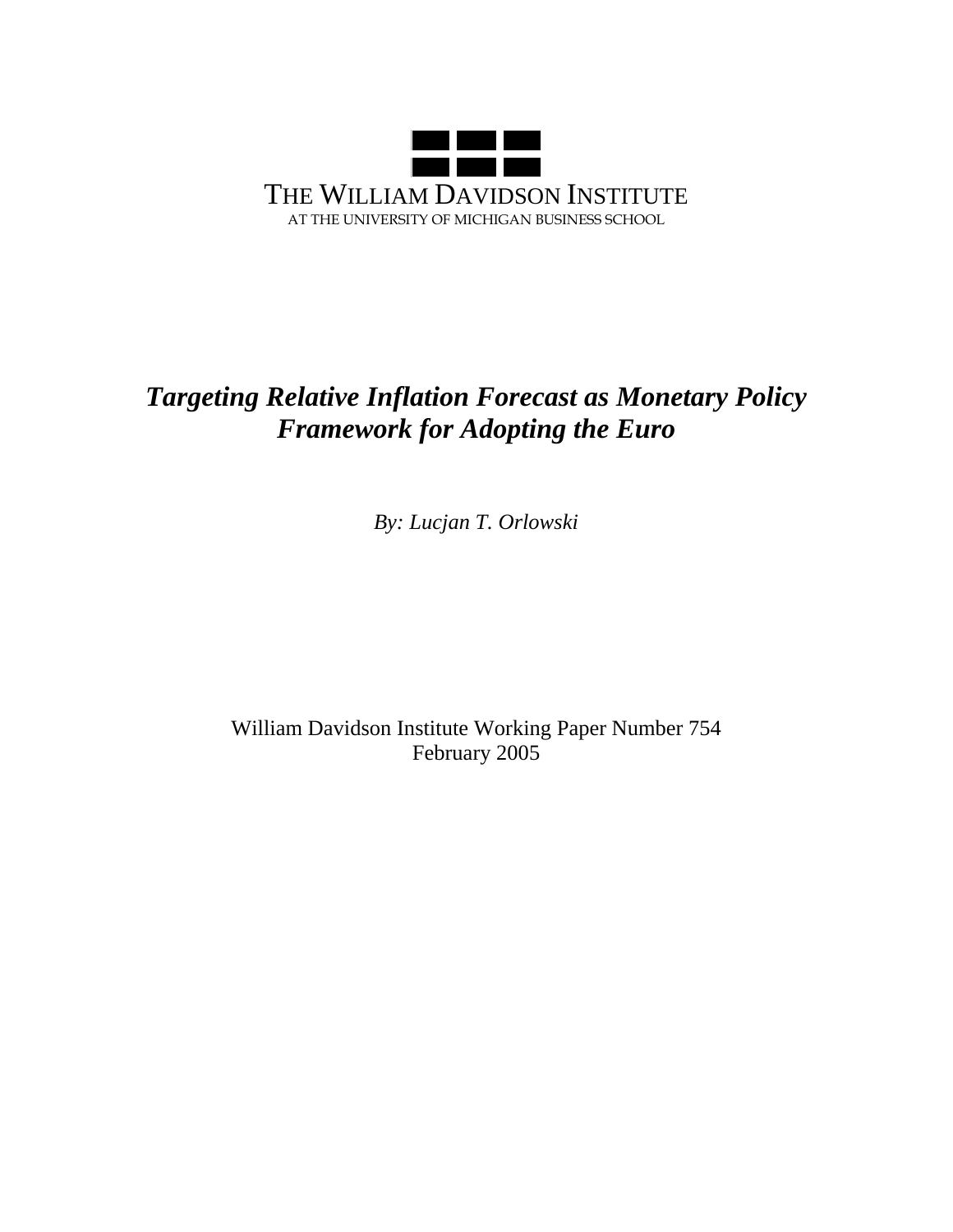

# *Targeting Relative Inflation Forecast as Monetary Policy Framework for Adopting the Euro*

*By: Lucjan T. Orlowski* 

William Davidson Institute Working Paper Number 754 February 2005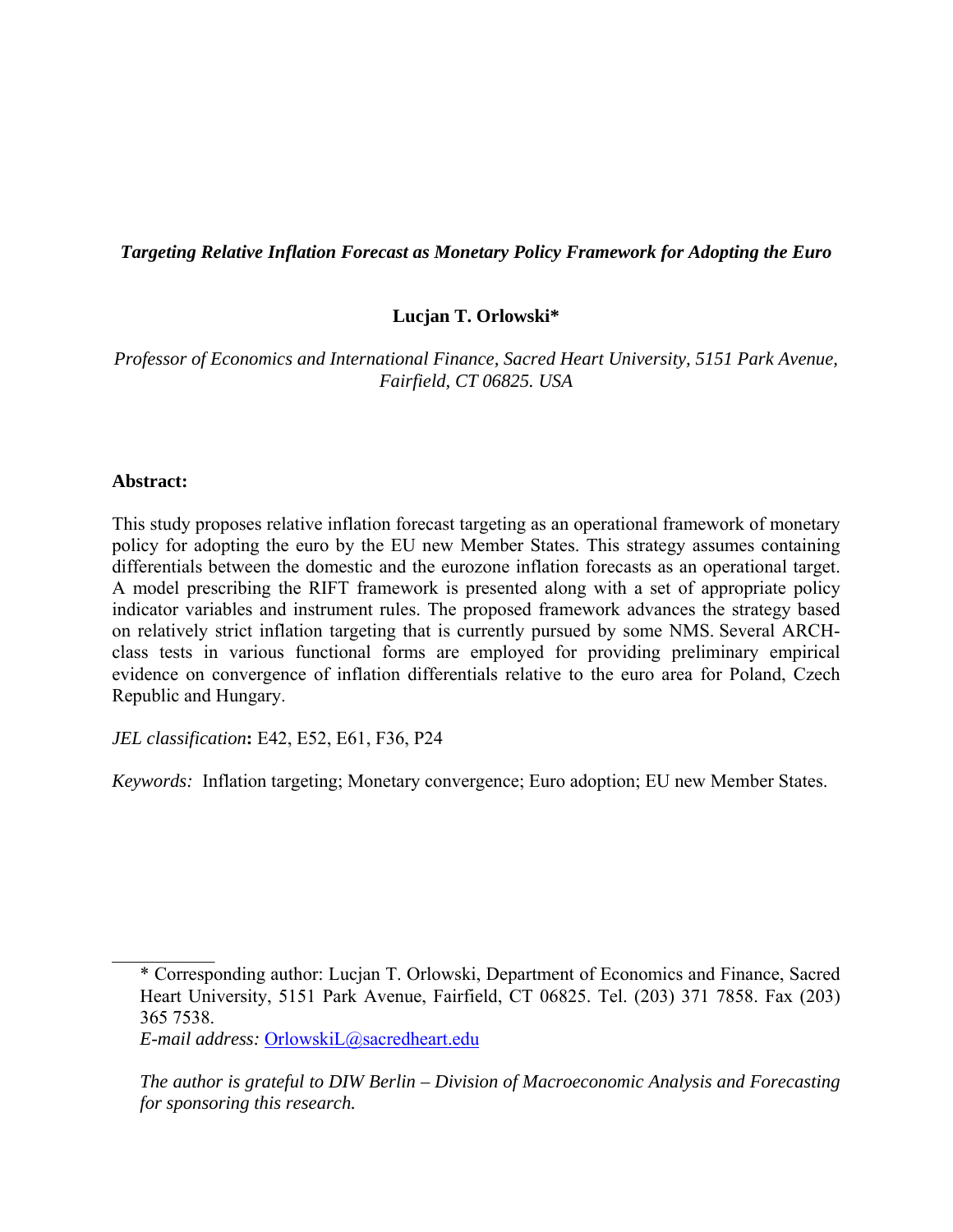#### *Targeting Relative Inflation Forecast as Monetary Policy Framework for Adopting the Euro*

#### **Lucjan T. Orlowski\***

*Professor of Economics and International Finance, Sacred Heart University, 5151 Park Avenue, Fairfield, CT 06825. USA* 

#### **Abstract:**

 $\frac{1}{2}$ 

This study proposes relative inflation forecast targeting as an operational framework of monetary policy for adopting the euro by the EU new Member States. This strategy assumes containing differentials between the domestic and the eurozone inflation forecasts as an operational target. A model prescribing the RIFT framework is presented along with a set of appropriate policy indicator variables and instrument rules. The proposed framework advances the strategy based on relatively strict inflation targeting that is currently pursued by some NMS. Several ARCHclass tests in various functional forms are employed for providing preliminary empirical evidence on convergence of inflation differentials relative to the euro area for Poland, Czech Republic and Hungary.

*JEL classification***:** E42, E52, E61, F36, P24

*Keywords:* Inflation targeting; Monetary convergence; Euro adoption; EU new Member States.

<sup>\*</sup> Corresponding author: Lucjan T. Orlowski, Department of Economics and Finance, Sacred Heart University, 5151 Park Avenue, Fairfield, CT 06825. Tel. (203) 371 7858. Fax (203) 365 7538.

*E-mail address:* OrlowskiL@sacredheart.edu

*The author is grateful to DIW Berlin – Division of Macroeconomic Analysis and Forecasting for sponsoring this research.*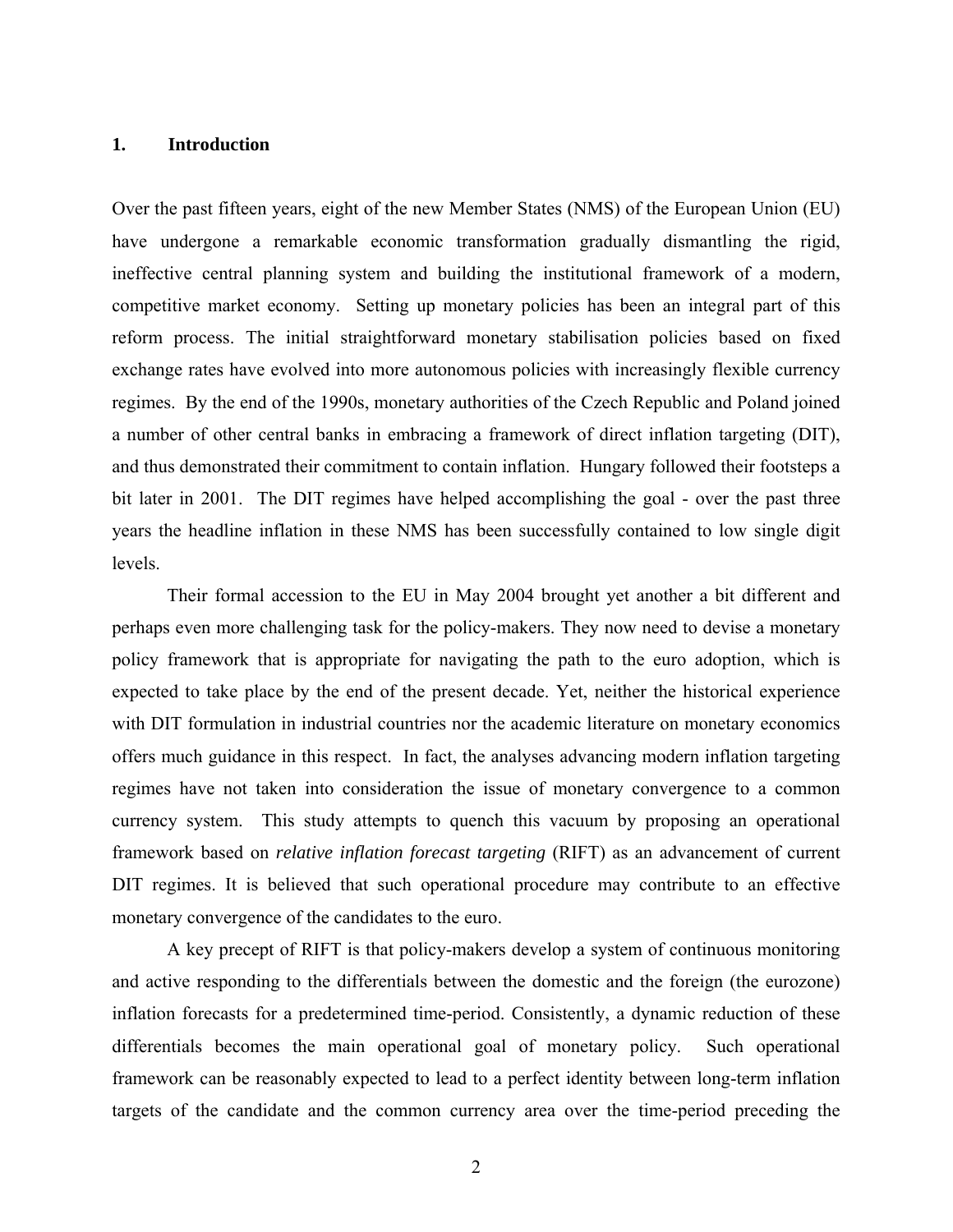#### **1. Introduction**

Over the past fifteen years, eight of the new Member States (NMS) of the European Union (EU) have undergone a remarkable economic transformation gradually dismantling the rigid, ineffective central planning system and building the institutional framework of a modern, competitive market economy. Setting up monetary policies has been an integral part of this reform process. The initial straightforward monetary stabilisation policies based on fixed exchange rates have evolved into more autonomous policies with increasingly flexible currency regimes. By the end of the 1990s, monetary authorities of the Czech Republic and Poland joined a number of other central banks in embracing a framework of direct inflation targeting (DIT), and thus demonstrated their commitment to contain inflation. Hungary followed their footsteps a bit later in 2001. The DIT regimes have helped accomplishing the goal - over the past three years the headline inflation in these NMS has been successfully contained to low single digit levels.

 Their formal accession to the EU in May 2004 brought yet another a bit different and perhaps even more challenging task for the policy-makers. They now need to devise a monetary policy framework that is appropriate for navigating the path to the euro adoption, which is expected to take place by the end of the present decade. Yet, neither the historical experience with DIT formulation in industrial countries nor the academic literature on monetary economics offers much guidance in this respect. In fact, the analyses advancing modern inflation targeting regimes have not taken into consideration the issue of monetary convergence to a common currency system. This study attempts to quench this vacuum by proposing an operational framework based on *relative inflation forecast targeting* (RIFT) as an advancement of current DIT regimes. It is believed that such operational procedure may contribute to an effective monetary convergence of the candidates to the euro.

 A key precept of RIFT is that policy-makers develop a system of continuous monitoring and active responding to the differentials between the domestic and the foreign (the eurozone) inflation forecasts for a predetermined time-period. Consistently, a dynamic reduction of these differentials becomes the main operational goal of monetary policy. Such operational framework can be reasonably expected to lead to a perfect identity between long-term inflation targets of the candidate and the common currency area over the time-period preceding the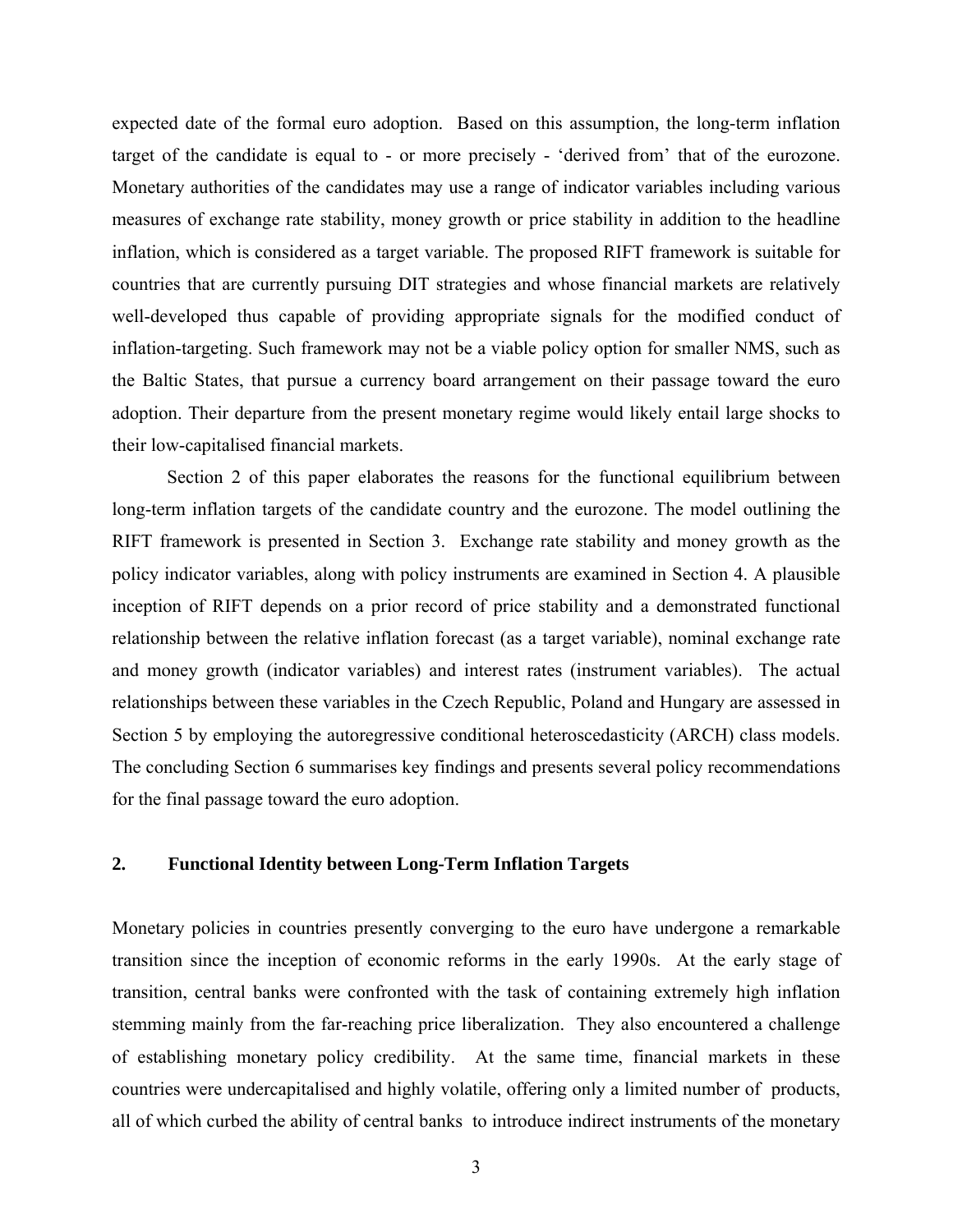expected date of the formal euro adoption. Based on this assumption, the long-term inflation target of the candidate is equal to - or more precisely - 'derived from' that of the eurozone. Monetary authorities of the candidates may use a range of indicator variables including various measures of exchange rate stability, money growth or price stability in addition to the headline inflation, which is considered as a target variable. The proposed RIFT framework is suitable for countries that are currently pursuing DIT strategies and whose financial markets are relatively well-developed thus capable of providing appropriate signals for the modified conduct of inflation-targeting. Such framework may not be a viable policy option for smaller NMS, such as the Baltic States, that pursue a currency board arrangement on their passage toward the euro adoption. Their departure from the present monetary regime would likely entail large shocks to their low-capitalised financial markets.

 Section 2 of this paper elaborates the reasons for the functional equilibrium between long-term inflation targets of the candidate country and the eurozone. The model outlining the RIFT framework is presented in Section 3. Exchange rate stability and money growth as the policy indicator variables, along with policy instruments are examined in Section 4. A plausible inception of RIFT depends on a prior record of price stability and a demonstrated functional relationship between the relative inflation forecast (as a target variable), nominal exchange rate and money growth (indicator variables) and interest rates (instrument variables). The actual relationships between these variables in the Czech Republic, Poland and Hungary are assessed in Section 5 by employing the autoregressive conditional heteroscedasticity (ARCH) class models. The concluding Section 6 summarises key findings and presents several policy recommendations for the final passage toward the euro adoption.

#### **2. Functional Identity between Long-Term Inflation Targets**

Monetary policies in countries presently converging to the euro have undergone a remarkable transition since the inception of economic reforms in the early 1990s. At the early stage of transition, central banks were confronted with the task of containing extremely high inflation stemming mainly from the far-reaching price liberalization. They also encountered a challenge of establishing monetary policy credibility. At the same time, financial markets in these countries were undercapitalised and highly volatile, offering only a limited number of products, all of which curbed the ability of central banks to introduce indirect instruments of the monetary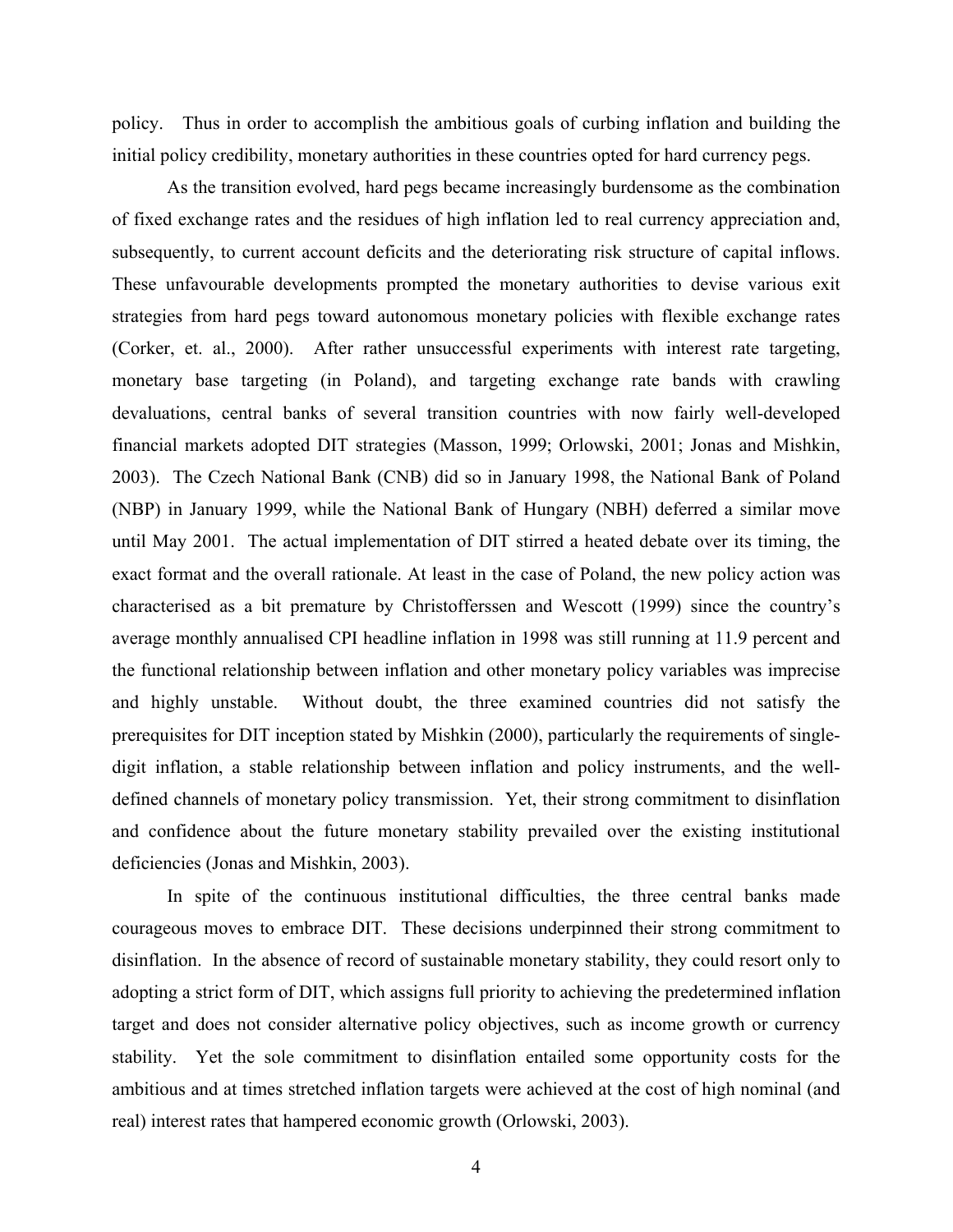policy. Thus in order to accomplish the ambitious goals of curbing inflation and building the initial policy credibility, monetary authorities in these countries opted for hard currency pegs.

 As the transition evolved, hard pegs became increasingly burdensome as the combination of fixed exchange rates and the residues of high inflation led to real currency appreciation and, subsequently, to current account deficits and the deteriorating risk structure of capital inflows. These unfavourable developments prompted the monetary authorities to devise various exit strategies from hard pegs toward autonomous monetary policies with flexible exchange rates (Corker, et. al., 2000). After rather unsuccessful experiments with interest rate targeting, monetary base targeting (in Poland), and targeting exchange rate bands with crawling devaluations, central banks of several transition countries with now fairly well-developed financial markets adopted DIT strategies (Masson, 1999; Orlowski, 2001; Jonas and Mishkin, 2003). The Czech National Bank (CNB) did so in January 1998, the National Bank of Poland (NBP) in January 1999, while the National Bank of Hungary (NBH) deferred a similar move until May 2001. The actual implementation of DIT stirred a heated debate over its timing, the exact format and the overall rationale. At least in the case of Poland, the new policy action was characterised as a bit premature by Christofferssen and Wescott (1999) since the country's average monthly annualised CPI headline inflation in 1998 was still running at 11.9 percent and the functional relationship between inflation and other monetary policy variables was imprecise and highly unstable. Without doubt, the three examined countries did not satisfy the prerequisites for DIT inception stated by Mishkin (2000), particularly the requirements of singledigit inflation, a stable relationship between inflation and policy instruments, and the welldefined channels of monetary policy transmission. Yet, their strong commitment to disinflation and confidence about the future monetary stability prevailed over the existing institutional deficiencies (Jonas and Mishkin, 2003).

 In spite of the continuous institutional difficulties, the three central banks made courageous moves to embrace DIT. These decisions underpinned their strong commitment to disinflation. In the absence of record of sustainable monetary stability, they could resort only to adopting a strict form of DIT, which assigns full priority to achieving the predetermined inflation target and does not consider alternative policy objectives, such as income growth or currency stability. Yet the sole commitment to disinflation entailed some opportunity costs for the ambitious and at times stretched inflation targets were achieved at the cost of high nominal (and real) interest rates that hampered economic growth (Orlowski, 2003).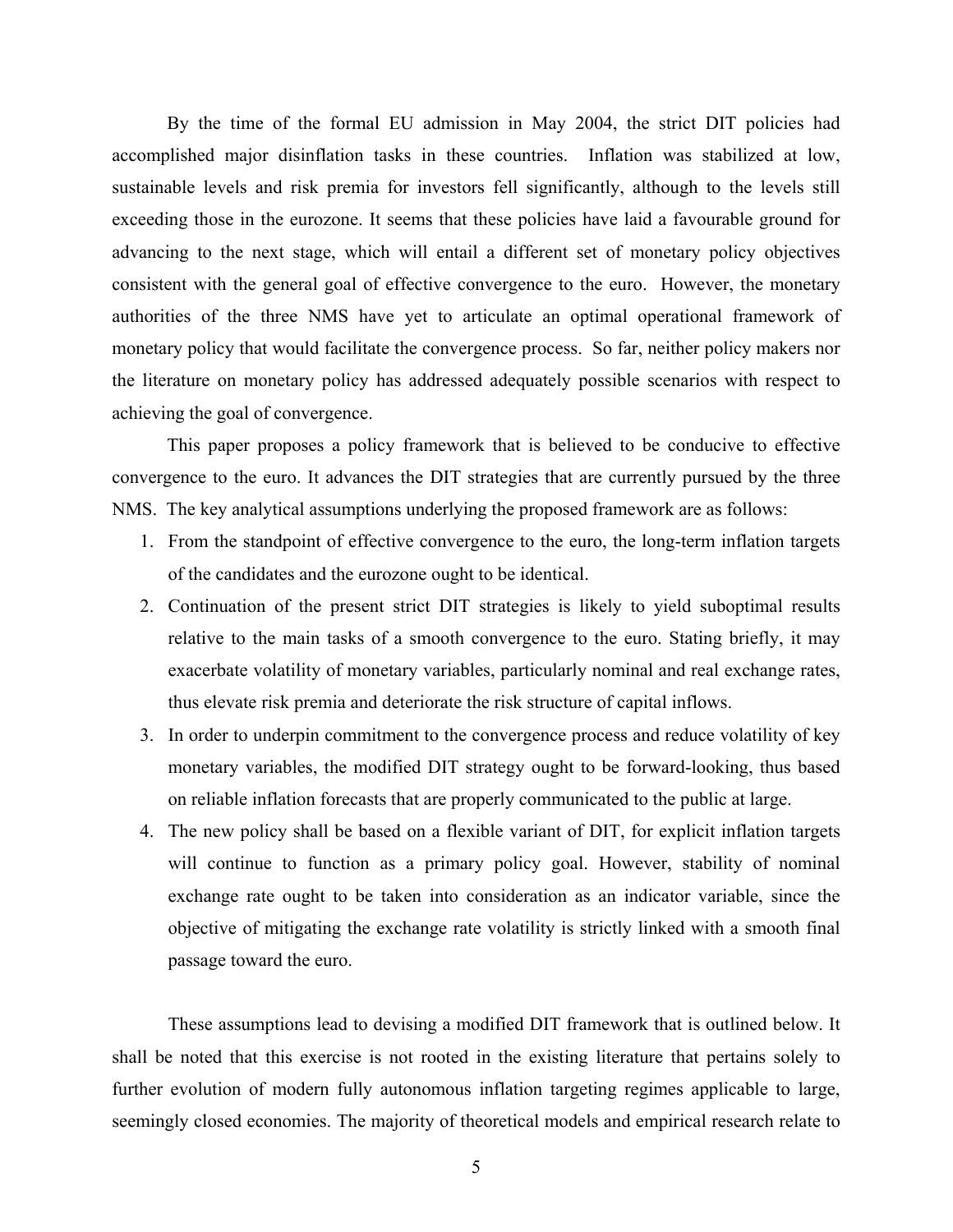By the time of the formal EU admission in May 2004, the strict DIT policies had accomplished major disinflation tasks in these countries. Inflation was stabilized at low, sustainable levels and risk premia for investors fell significantly, although to the levels still exceeding those in the eurozone. It seems that these policies have laid a favourable ground for advancing to the next stage, which will entail a different set of monetary policy objectives consistent with the general goal of effective convergence to the euro. However, the monetary authorities of the three NMS have yet to articulate an optimal operational framework of monetary policy that would facilitate the convergence process. So far, neither policy makers nor the literature on monetary policy has addressed adequately possible scenarios with respect to achieving the goal of convergence.

 This paper proposes a policy framework that is believed to be conducive to effective convergence to the euro. It advances the DIT strategies that are currently pursued by the three NMS. The key analytical assumptions underlying the proposed framework are as follows:

- 1. From the standpoint of effective convergence to the euro, the long-term inflation targets of the candidates and the eurozone ought to be identical.
- 2. Continuation of the present strict DIT strategies is likely to yield suboptimal results relative to the main tasks of a smooth convergence to the euro. Stating briefly, it may exacerbate volatility of monetary variables, particularly nominal and real exchange rates, thus elevate risk premia and deteriorate the risk structure of capital inflows.
- 3. In order to underpin commitment to the convergence process and reduce volatility of key monetary variables, the modified DIT strategy ought to be forward-looking, thus based on reliable inflation forecasts that are properly communicated to the public at large.
- 4. The new policy shall be based on a flexible variant of DIT, for explicit inflation targets will continue to function as a primary policy goal. However, stability of nominal exchange rate ought to be taken into consideration as an indicator variable, since the objective of mitigating the exchange rate volatility is strictly linked with a smooth final passage toward the euro.

These assumptions lead to devising a modified DIT framework that is outlined below. It shall be noted that this exercise is not rooted in the existing literature that pertains solely to further evolution of modern fully autonomous inflation targeting regimes applicable to large, seemingly closed economies. The majority of theoretical models and empirical research relate to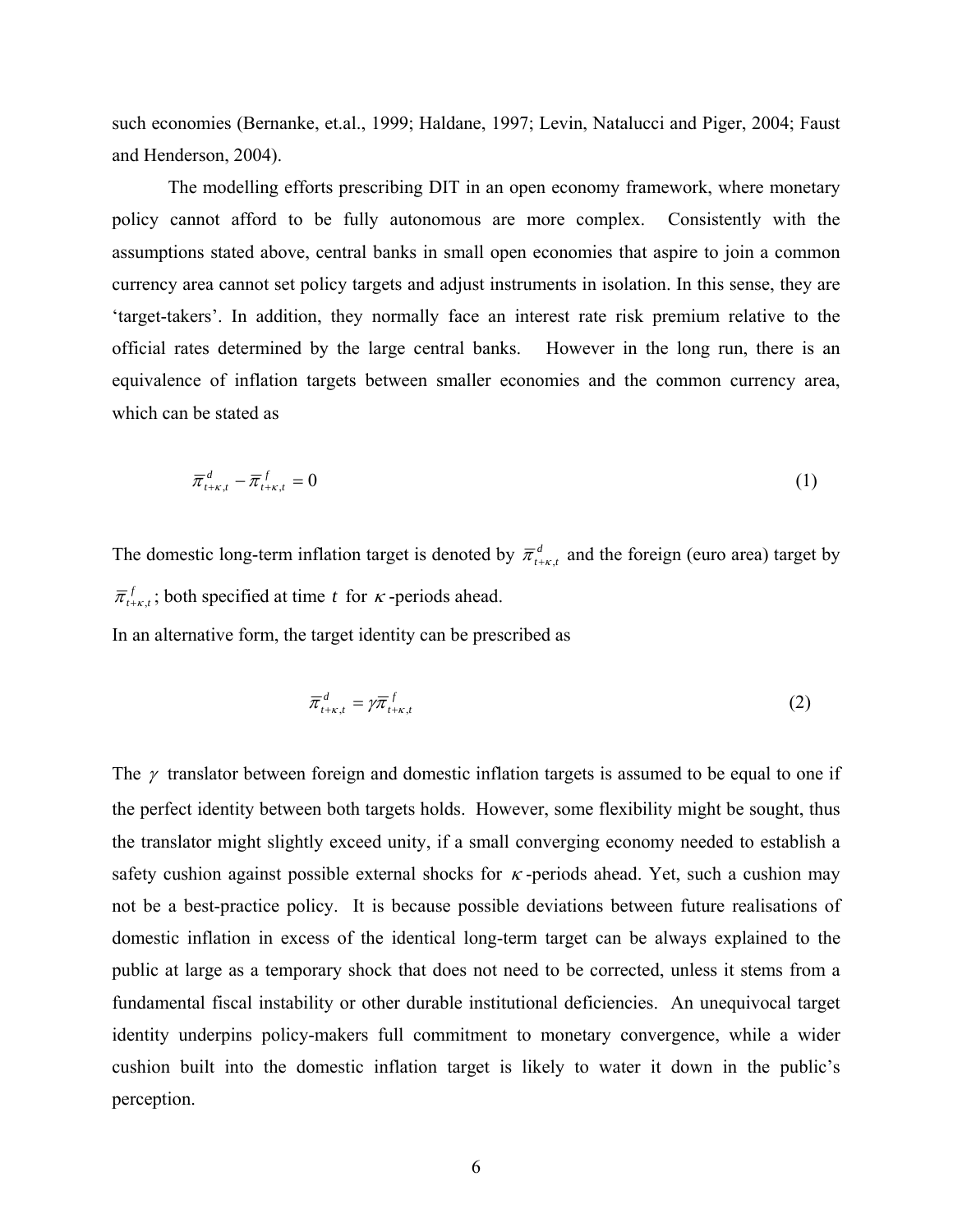such economies (Bernanke, et.al., 1999; Haldane, 1997; Levin, Natalucci and Piger, 2004; Faust and Henderson, 2004).

The modelling efforts prescribing DIT in an open economy framework, where monetary policy cannot afford to be fully autonomous are more complex. Consistently with the assumptions stated above, central banks in small open economies that aspire to join a common currency area cannot set policy targets and adjust instruments in isolation. In this sense, they are 'target-takers'. In addition, they normally face an interest rate risk premium relative to the official rates determined by the large central banks. However in the long run, there is an equivalence of inflation targets between smaller economies and the common currency area, which can be stated as

$$
\overline{\pi}_{t+\kappa,t}^d - \overline{\pi}_{t+\kappa,t}^f = 0 \tag{1}
$$

The domestic long-term inflation target is denoted by  $\overline{\pi}_{t+\kappa}^d$  and the foreign (euro area) target by  $\overline{\pi}_{t+\kappa,t}^f$ ; both specified at time *t* for *κ*-periods ahead.

In an alternative form, the target identity can be prescribed as

$$
\overline{\pi}_{t+\kappa,t}^d = \gamma \overline{\pi}_{t+\kappa,t}^f \tag{2}
$$

The  $\gamma$  translator between foreign and domestic inflation targets is assumed to be equal to one if the perfect identity between both targets holds. However, some flexibility might be sought, thus the translator might slightly exceed unity, if a small converging economy needed to establish a safety cushion against possible external shocks for  $\kappa$ -periods ahead. Yet, such a cushion may not be a best-practice policy. It is because possible deviations between future realisations of domestic inflation in excess of the identical long-term target can be always explained to the public at large as a temporary shock that does not need to be corrected, unless it stems from a fundamental fiscal instability or other durable institutional deficiencies. An unequivocal target identity underpins policy-makers full commitment to monetary convergence, while a wider cushion built into the domestic inflation target is likely to water it down in the public's perception.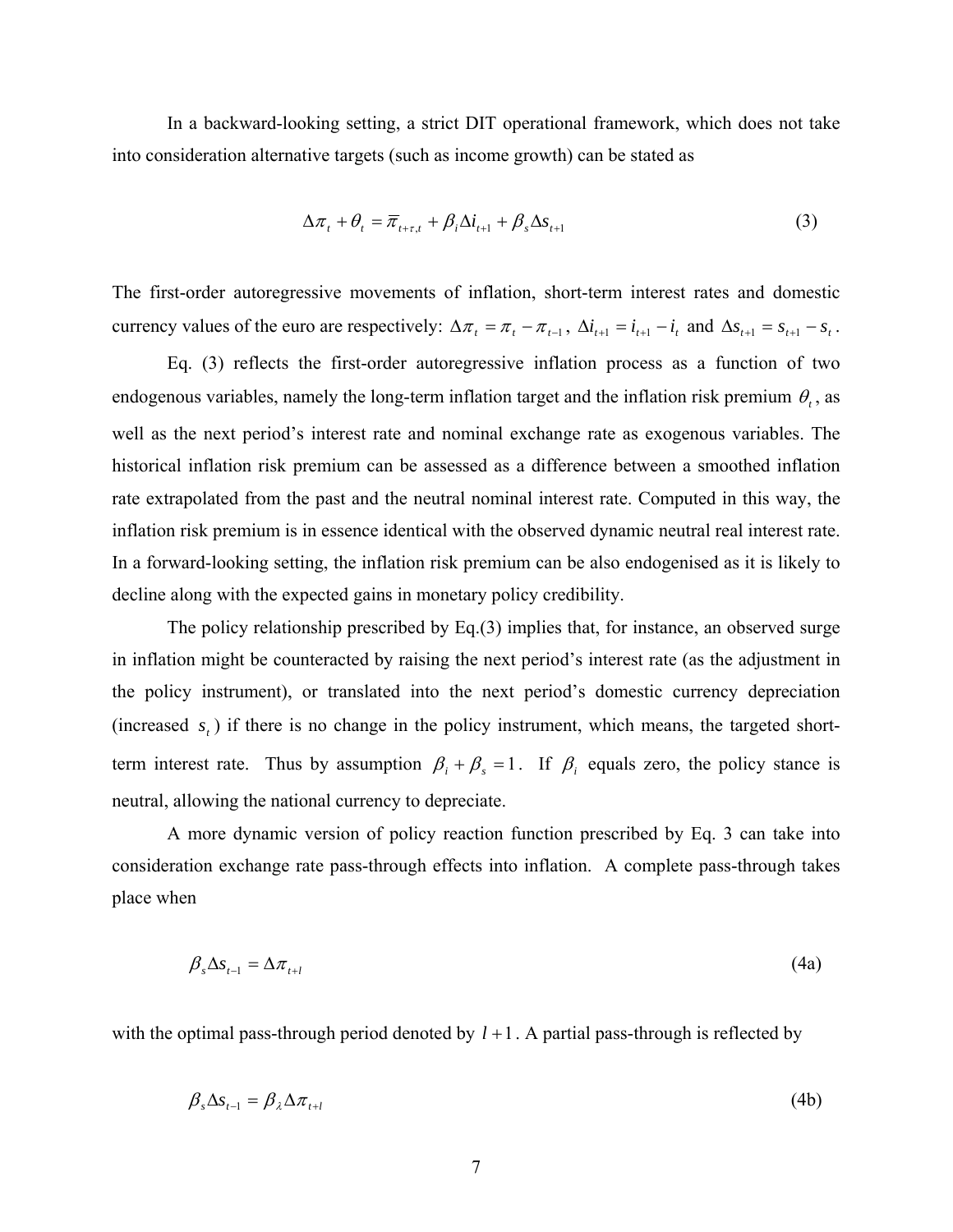In a backward-looking setting, a strict DIT operational framework, which does not take into consideration alternative targets (such as income growth) can be stated as

$$
\Delta \pi_t + \theta_t = \overline{\pi}_{t+\tau,t} + \beta_i \Delta i_{t+1} + \beta_s \Delta s_{t+1}
$$
\n(3)

The first-order autoregressive movements of inflation, short-term interest rates and domestic currency values of the euro are respectively:  $\Delta \pi_t = \pi_t - \pi_{t-1}$ ,  $\Delta i_{t+1} = i_{t+1} - i_t$  and  $\Delta s_{t+1} = s_{t+1} - s_t$ .

Eq. (3) reflects the first-order autoregressive inflation process as a function of two endogenous variables, namely the long-term inflation target and the inflation risk premium  $\theta_t$ , as well as the next period's interest rate and nominal exchange rate as exogenous variables. The historical inflation risk premium can be assessed as a difference between a smoothed inflation rate extrapolated from the past and the neutral nominal interest rate. Computed in this way, the inflation risk premium is in essence identical with the observed dynamic neutral real interest rate. In a forward-looking setting, the inflation risk premium can be also endogenised as it is likely to decline along with the expected gains in monetary policy credibility.

 The policy relationship prescribed by Eq.(3) implies that, for instance, an observed surge in inflation might be counteracted by raising the next period's interest rate (as the adjustment in the policy instrument), or translated into the next period's domestic currency depreciation (increased  $s<sub>t</sub>$ ) if there is no change in the policy instrument, which means, the targeted shortterm interest rate. Thus by assumption  $\beta_i + \beta_s = 1$ . If  $\beta_i$  equals zero, the policy stance is neutral, allowing the national currency to depreciate.

A more dynamic version of policy reaction function prescribed by Eq. 3 can take into consideration exchange rate pass-through effects into inflation. A complete pass-through takes place when

$$
\beta_{s} \Delta s_{t-1} = \Delta \pi_{t+1} \tag{4a}
$$

with the optimal pass-through period denoted by  $l + 1$ . A partial pass-through is reflected by

$$
\beta_s \Delta s_{t-1} = \beta_\lambda \Delta \pi_{t+1} \tag{4b}
$$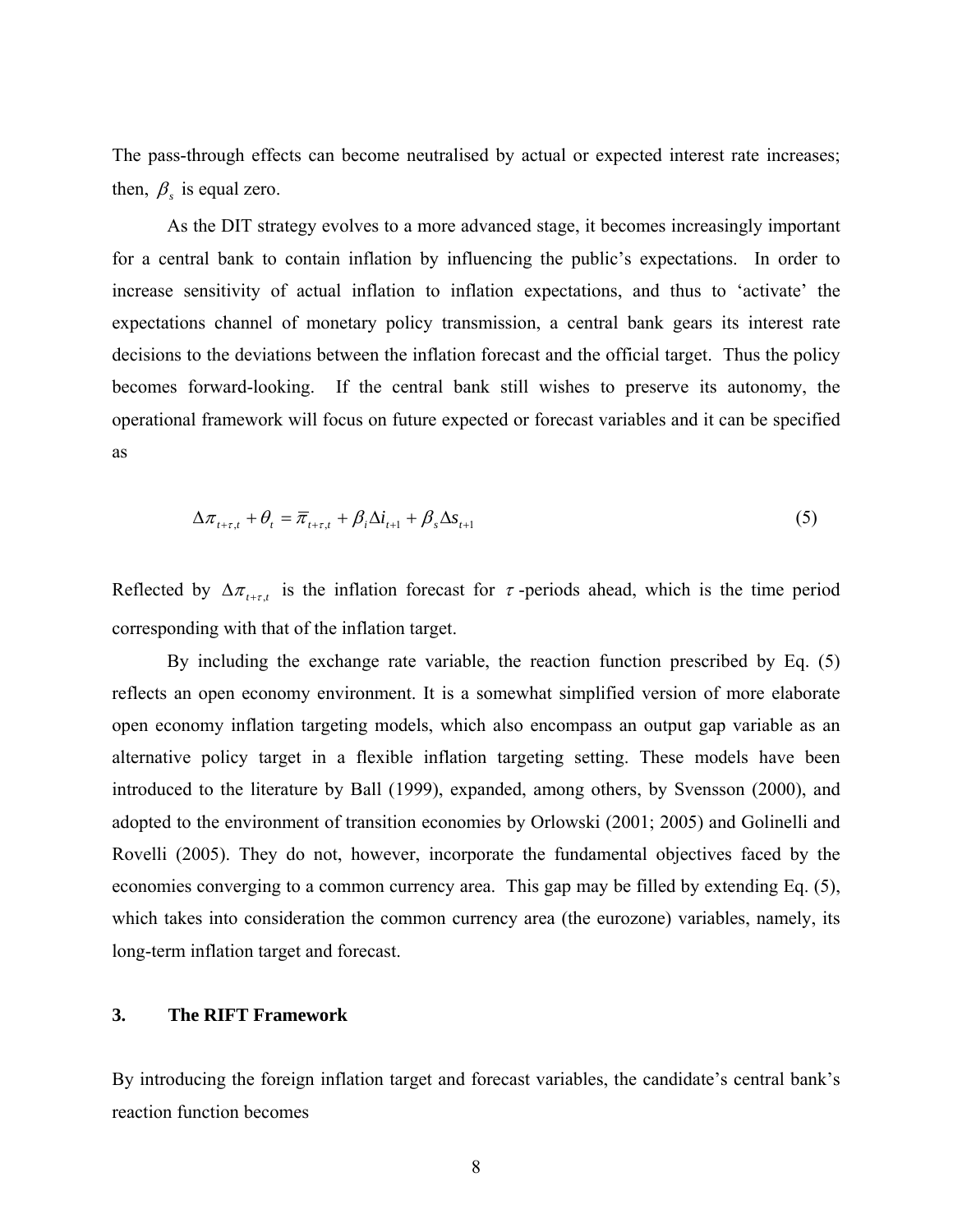The pass-through effects can become neutralised by actual or expected interest rate increases; then,  $\beta_s$  is equal zero.

 As the DIT strategy evolves to a more advanced stage, it becomes increasingly important for a central bank to contain inflation by influencing the public's expectations. In order to increase sensitivity of actual inflation to inflation expectations, and thus to 'activate' the expectations channel of monetary policy transmission, a central bank gears its interest rate decisions to the deviations between the inflation forecast and the official target. Thus the policy becomes forward-looking. If the central bank still wishes to preserve its autonomy, the operational framework will focus on future expected or forecast variables and it can be specified as

$$
\Delta \pi_{t+\tau,t} + \theta_t = \overline{\pi}_{t+\tau,t} + \beta_t \Delta i_{t+1} + \beta_s \Delta s_{t+1}
$$
\n<sup>(5)</sup>

Reflected by  $\Delta \pi_{t+\tau,t}$  is the inflation forecast for  $\tau$ -periods ahead, which is the time period corresponding with that of the inflation target.

 By including the exchange rate variable, the reaction function prescribed by Eq. (5) reflects an open economy environment. It is a somewhat simplified version of more elaborate open economy inflation targeting models, which also encompass an output gap variable as an alternative policy target in a flexible inflation targeting setting. These models have been introduced to the literature by Ball (1999), expanded, among others, by Svensson (2000), and adopted to the environment of transition economies by Orlowski (2001; 2005) and Golinelli and Rovelli (2005). They do not, however, incorporate the fundamental objectives faced by the economies converging to a common currency area. This gap may be filled by extending Eq. (5), which takes into consideration the common currency area (the eurozone) variables, namely, its long-term inflation target and forecast.

#### **3. The RIFT Framework**

By introducing the foreign inflation target and forecast variables, the candidate's central bank's reaction function becomes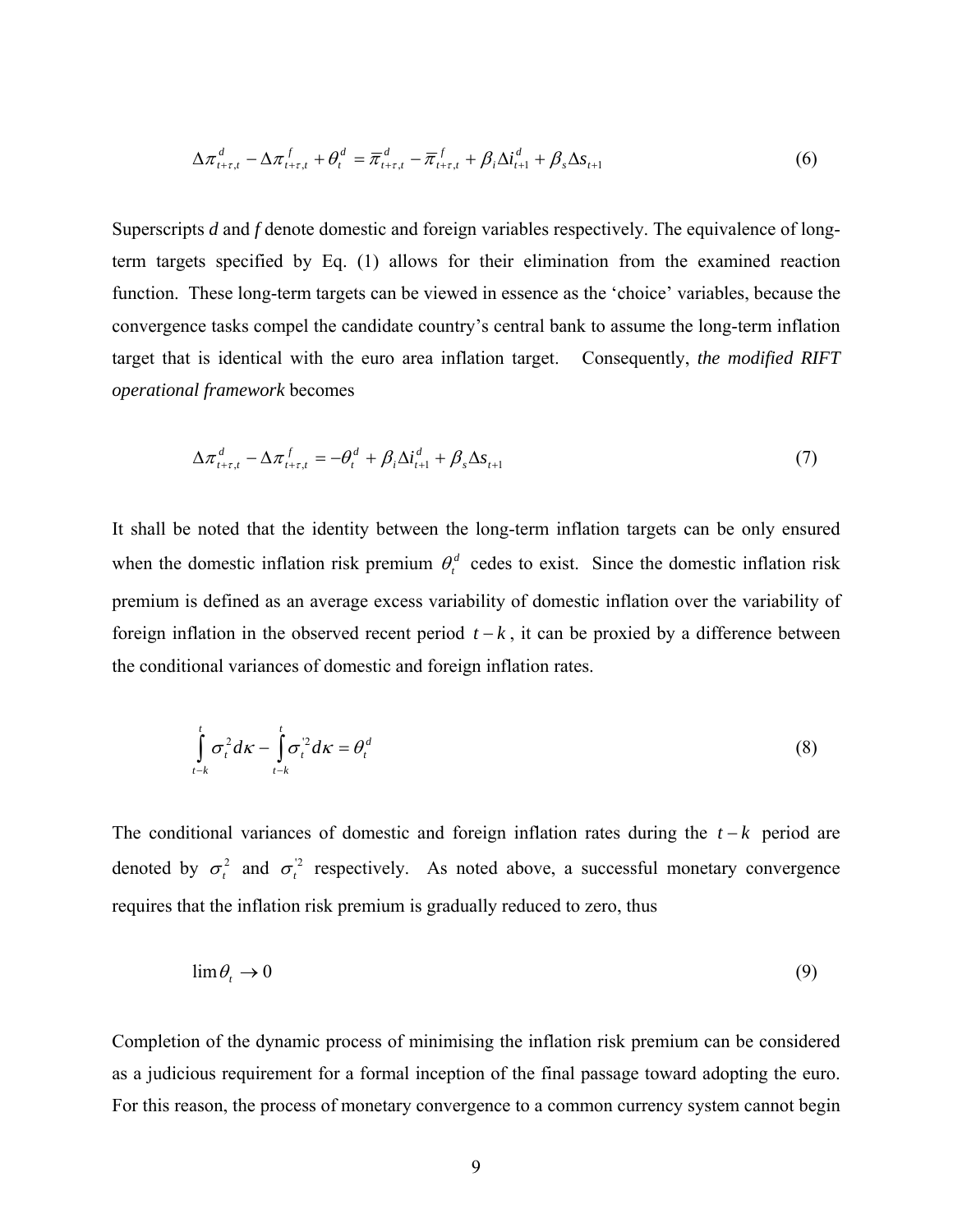$$
\Delta \pi_{t+\tau,t}^d - \Delta \pi_{t+\tau,t}^f + \theta_t^d = \overline{\pi}_{t+\tau,t}^d - \overline{\pi}_{t+\tau,t}^f + \beta_i \Delta i_{t+1}^d + \beta_s \Delta s_{t+1}
$$
(6)

Superscripts *d* and *f* denote domestic and foreign variables respectively. The equivalence of longterm targets specified by Eq. (1) allows for their elimination from the examined reaction function. These long-term targets can be viewed in essence as the 'choice' variables, because the convergence tasks compel the candidate country's central bank to assume the long-term inflation target that is identical with the euro area inflation target. Consequently, *the modified RIFT operational framework* becomes

$$
\Delta \pi_{t+\tau,t}^d - \Delta \pi_{t+\tau,t}^f = -\theta_t^d + \beta_i \Delta i_{t+1}^d + \beta_s \Delta s_{t+1}
$$
\n<sup>(7)</sup>

It shall be noted that the identity between the long-term inflation targets can be only ensured when the domestic inflation risk premium  $\theta_t^d$  cedes to exist. Since the domestic inflation risk premium is defined as an average excess variability of domestic inflation over the variability of foreign inflation in the observed recent period  $t - k$ , it can be proxied by a difference between the conditional variances of domestic and foreign inflation rates.

$$
\int_{t-k}^{t} \sigma_t^2 d\kappa - \int_{t-k}^{t} \sigma_t^2 d\kappa = \theta_t^d
$$
\n(8)

The conditional variances of domestic and foreign inflation rates during the *t* − *k* period are denoted by  $\sigma_t^2$  and  $\sigma_t^2$  respectively. As noted above, a successful monetary convergence requires that the inflation risk premium is gradually reduced to zero, thus

$$
\lim \theta_t \to 0 \tag{9}
$$

Completion of the dynamic process of minimising the inflation risk premium can be considered as a judicious requirement for a formal inception of the final passage toward adopting the euro. For this reason, the process of monetary convergence to a common currency system cannot begin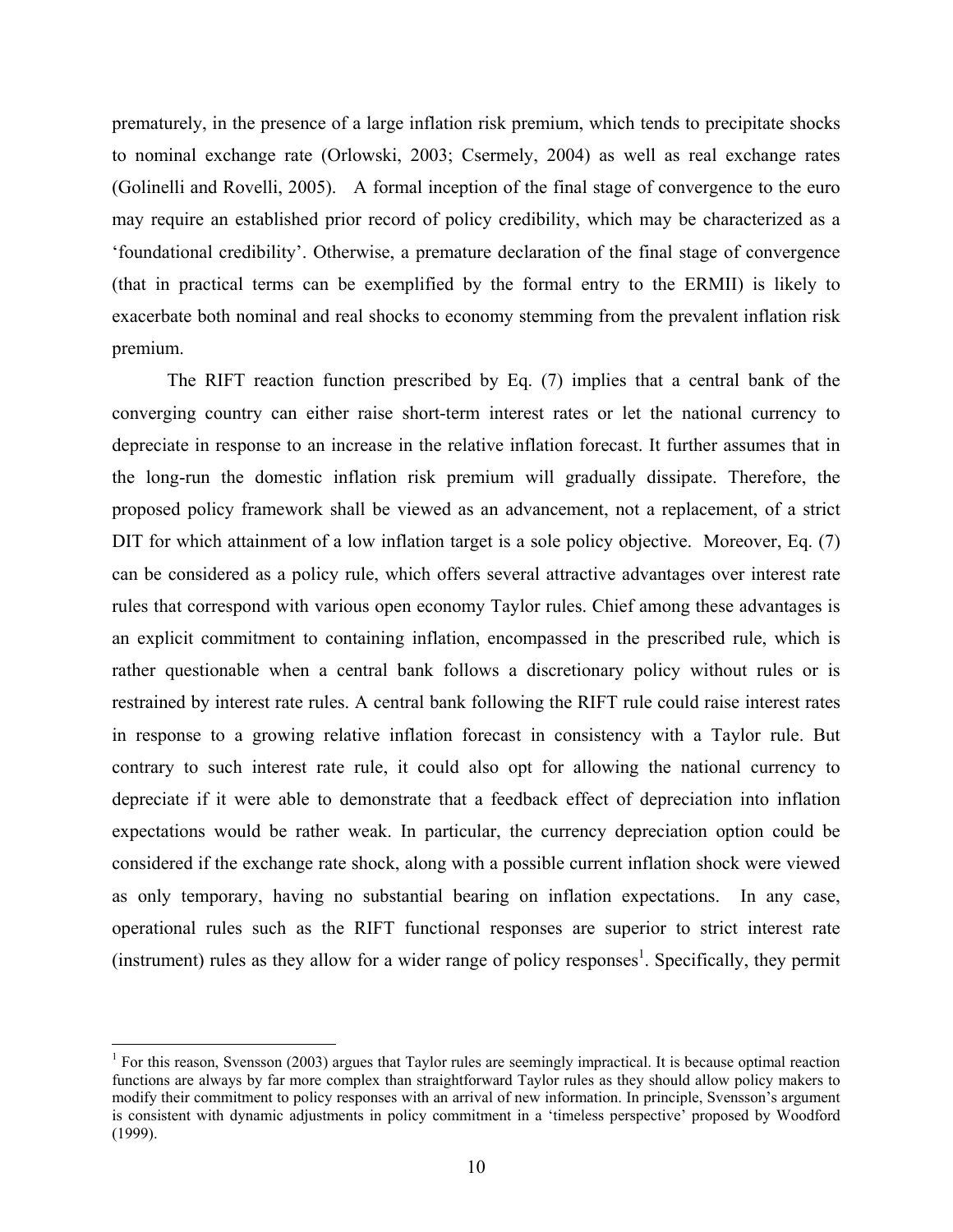prematurely, in the presence of a large inflation risk premium, which tends to precipitate shocks to nominal exchange rate (Orlowski, 2003; Csermely, 2004) as well as real exchange rates (Golinelli and Rovelli, 2005). A formal inception of the final stage of convergence to the euro may require an established prior record of policy credibility, which may be characterized as a 'foundational credibility'. Otherwise, a premature declaration of the final stage of convergence (that in practical terms can be exemplified by the formal entry to the ERMII) is likely to exacerbate both nominal and real shocks to economy stemming from the prevalent inflation risk premium.

The RIFT reaction function prescribed by Eq. (7) implies that a central bank of the converging country can either raise short-term interest rates or let the national currency to depreciate in response to an increase in the relative inflation forecast. It further assumes that in the long-run the domestic inflation risk premium will gradually dissipate. Therefore, the proposed policy framework shall be viewed as an advancement, not a replacement, of a strict DIT for which attainment of a low inflation target is a sole policy objective. Moreover, Eq. (7) can be considered as a policy rule, which offers several attractive advantages over interest rate rules that correspond with various open economy Taylor rules. Chief among these advantages is an explicit commitment to containing inflation, encompassed in the prescribed rule, which is rather questionable when a central bank follows a discretionary policy without rules or is restrained by interest rate rules. A central bank following the RIFT rule could raise interest rates in response to a growing relative inflation forecast in consistency with a Taylor rule. But contrary to such interest rate rule, it could also opt for allowing the national currency to depreciate if it were able to demonstrate that a feedback effect of depreciation into inflation expectations would be rather weak. In particular, the currency depreciation option could be considered if the exchange rate shock, along with a possible current inflation shock were viewed as only temporary, having no substantial bearing on inflation expectations. In any case, operational rules such as the RIFT functional responses are superior to strict interest rate (instrument) rules as they allow for a wider range of policy responses<sup>1</sup>. Specifically, they permit

<sup>&</sup>lt;sup>1</sup> For this reason, Svensson (2003) argues that Taylor rules are seemingly impractical. It is because optimal reaction functions are always by far more complex than straightforward Taylor rules as they should allow policy makers to modify their commitment to policy responses with an arrival of new information. In principle, Svensson's argument is consistent with dynamic adjustments in policy commitment in a 'timeless perspective' proposed by Woodford (1999).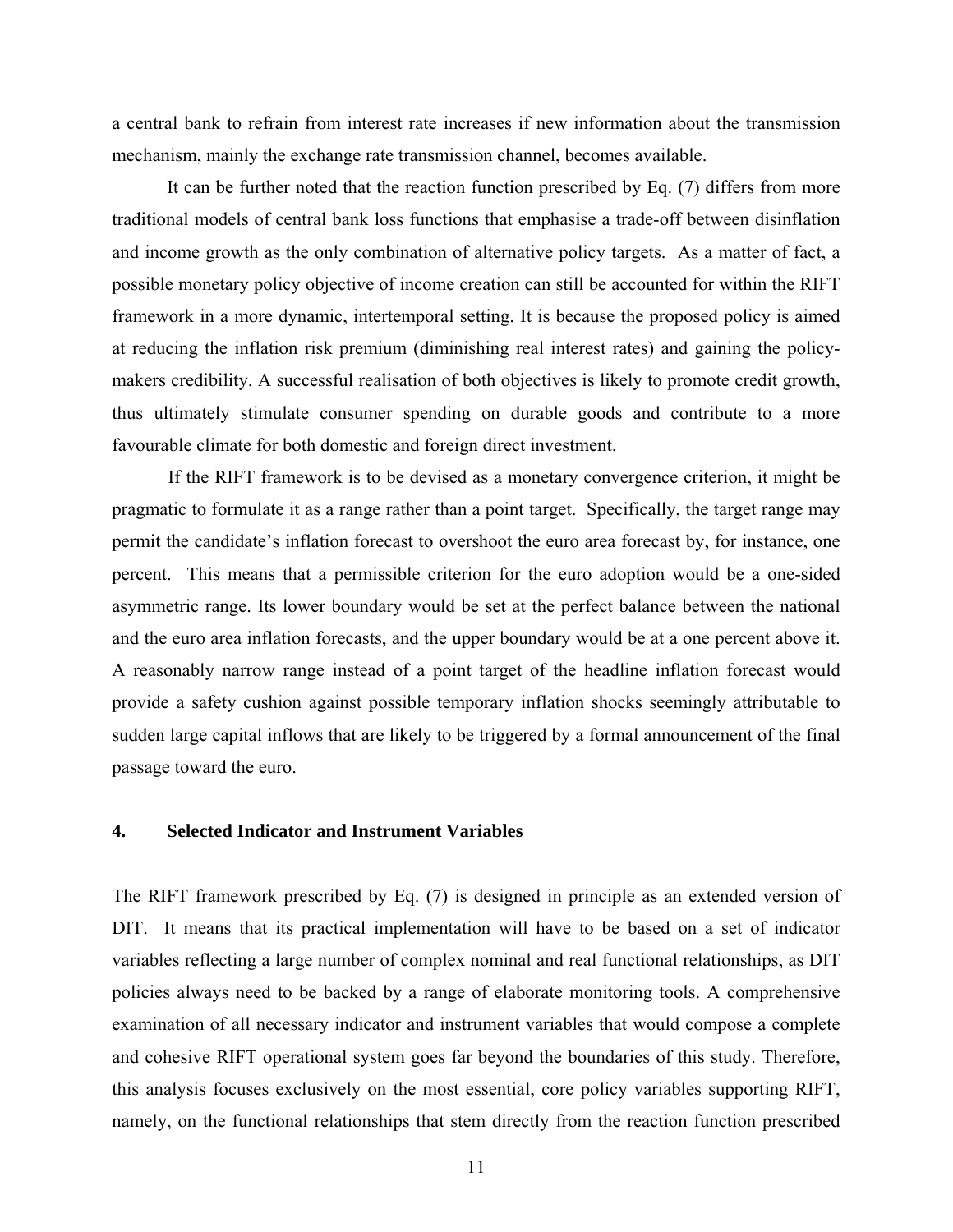a central bank to refrain from interest rate increases if new information about the transmission mechanism, mainly the exchange rate transmission channel, becomes available.

It can be further noted that the reaction function prescribed by Eq. (7) differs from more traditional models of central bank loss functions that emphasise a trade-off between disinflation and income growth as the only combination of alternative policy targets. As a matter of fact, a possible monetary policy objective of income creation can still be accounted for within the RIFT framework in a more dynamic, intertemporal setting. It is because the proposed policy is aimed at reducing the inflation risk premium (diminishing real interest rates) and gaining the policymakers credibility. A successful realisation of both objectives is likely to promote credit growth, thus ultimately stimulate consumer spending on durable goods and contribute to a more favourable climate for both domestic and foreign direct investment.

If the RIFT framework is to be devised as a monetary convergence criterion, it might be pragmatic to formulate it as a range rather than a point target. Specifically, the target range may permit the candidate's inflation forecast to overshoot the euro area forecast by, for instance, one percent. This means that a permissible criterion for the euro adoption would be a one-sided asymmetric range. Its lower boundary would be set at the perfect balance between the national and the euro area inflation forecasts, and the upper boundary would be at a one percent above it. A reasonably narrow range instead of a point target of the headline inflation forecast would provide a safety cushion against possible temporary inflation shocks seemingly attributable to sudden large capital inflows that are likely to be triggered by a formal announcement of the final passage toward the euro.

#### **4. Selected Indicator and Instrument Variables**

The RIFT framework prescribed by Eq. (7) is designed in principle as an extended version of DIT. It means that its practical implementation will have to be based on a set of indicator variables reflecting a large number of complex nominal and real functional relationships, as DIT policies always need to be backed by a range of elaborate monitoring tools. A comprehensive examination of all necessary indicator and instrument variables that would compose a complete and cohesive RIFT operational system goes far beyond the boundaries of this study. Therefore, this analysis focuses exclusively on the most essential, core policy variables supporting RIFT, namely, on the functional relationships that stem directly from the reaction function prescribed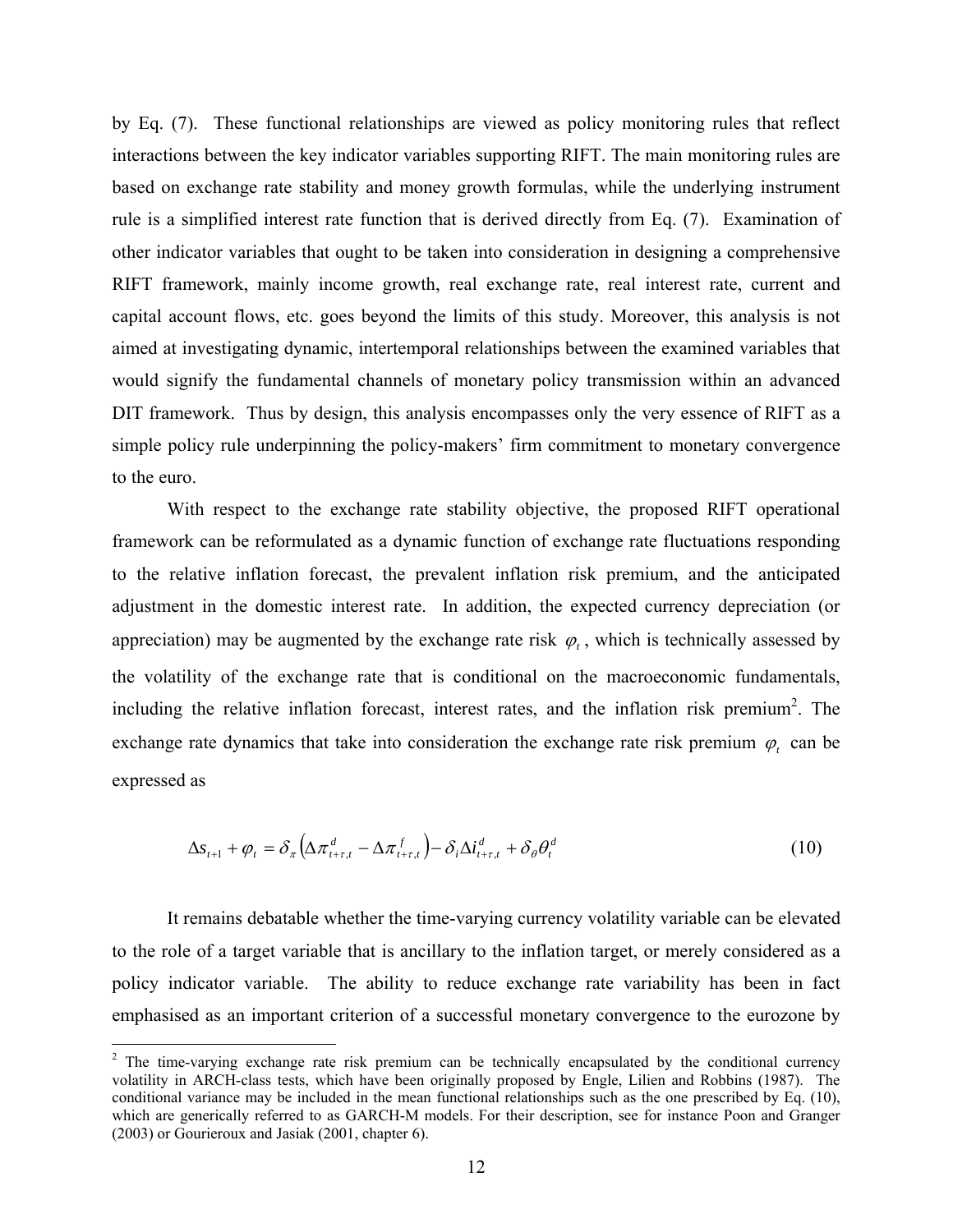by Eq. (7). These functional relationships are viewed as policy monitoring rules that reflect interactions between the key indicator variables supporting RIFT. The main monitoring rules are based on exchange rate stability and money growth formulas, while the underlying instrument rule is a simplified interest rate function that is derived directly from Eq. (7). Examination of other indicator variables that ought to be taken into consideration in designing a comprehensive RIFT framework, mainly income growth, real exchange rate, real interest rate, current and capital account flows, etc. goes beyond the limits of this study. Moreover, this analysis is not aimed at investigating dynamic, intertemporal relationships between the examined variables that would signify the fundamental channels of monetary policy transmission within an advanced DIT framework. Thus by design, this analysis encompasses only the very essence of RIFT as a simple policy rule underpinning the policy-makers' firm commitment to monetary convergence to the euro.

With respect to the exchange rate stability objective, the proposed RIFT operational framework can be reformulated as a dynamic function of exchange rate fluctuations responding to the relative inflation forecast, the prevalent inflation risk premium, and the anticipated adjustment in the domestic interest rate. In addition, the expected currency depreciation (or appreciation) may be augmented by the exchange rate risk  $\varphi_t$ , which is technically assessed by the volatility of the exchange rate that is conditional on the macroeconomic fundamentals, including the relative inflation forecast, interest rates, and the inflation risk premium<sup>2</sup>. The exchange rate dynamics that take into consideration the exchange rate risk premium  $\varphi$ , can be expressed as

$$
\Delta s_{t+1} + \varphi_t = \delta_\pi \left( \Delta \pi_{t+\tau,t}^d - \Delta \pi_{t+\tau,t}^f \right) - \delta_i \Delta i_{t+\tau,t}^d + \delta_\theta \theta_t^d \tag{10}
$$

 It remains debatable whether the time-varying currency volatility variable can be elevated to the role of a target variable that is ancillary to the inflation target, or merely considered as a policy indicator variable. The ability to reduce exchange rate variability has been in fact emphasised as an important criterion of a successful monetary convergence to the eurozone by

 $\overline{a}$ 

 $2$  The time-varying exchange rate risk premium can be technically encapsulated by the conditional currency volatility in ARCH-class tests, which have been originally proposed by Engle, Lilien and Robbins (1987). The conditional variance may be included in the mean functional relationships such as the one prescribed by Eq. (10), which are generically referred to as GARCH-M models. For their description, see for instance Poon and Granger (2003) or Gourieroux and Jasiak (2001, chapter 6).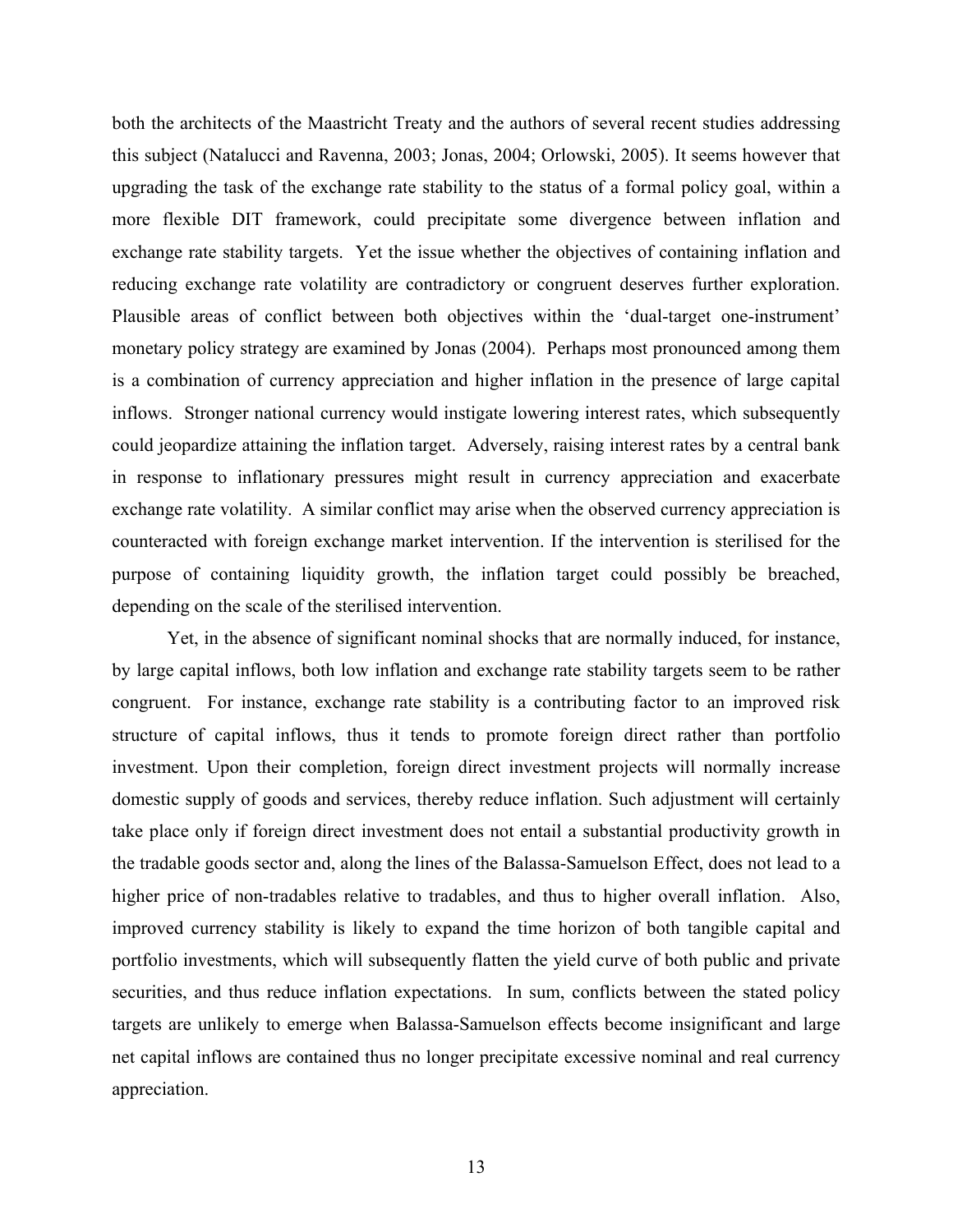both the architects of the Maastricht Treaty and the authors of several recent studies addressing this subject (Natalucci and Ravenna, 2003; Jonas, 2004; Orlowski, 2005). It seems however that upgrading the task of the exchange rate stability to the status of a formal policy goal, within a more flexible DIT framework, could precipitate some divergence between inflation and exchange rate stability targets. Yet the issue whether the objectives of containing inflation and reducing exchange rate volatility are contradictory or congruent deserves further exploration. Plausible areas of conflict between both objectives within the 'dual-target one-instrument' monetary policy strategy are examined by Jonas (2004). Perhaps most pronounced among them is a combination of currency appreciation and higher inflation in the presence of large capital inflows. Stronger national currency would instigate lowering interest rates, which subsequently could jeopardize attaining the inflation target. Adversely, raising interest rates by a central bank in response to inflationary pressures might result in currency appreciation and exacerbate exchange rate volatility. A similar conflict may arise when the observed currency appreciation is counteracted with foreign exchange market intervention. If the intervention is sterilised for the purpose of containing liquidity growth, the inflation target could possibly be breached, depending on the scale of the sterilised intervention.

Yet, in the absence of significant nominal shocks that are normally induced, for instance, by large capital inflows, both low inflation and exchange rate stability targets seem to be rather congruent. For instance, exchange rate stability is a contributing factor to an improved risk structure of capital inflows, thus it tends to promote foreign direct rather than portfolio investment. Upon their completion, foreign direct investment projects will normally increase domestic supply of goods and services, thereby reduce inflation. Such adjustment will certainly take place only if foreign direct investment does not entail a substantial productivity growth in the tradable goods sector and, along the lines of the Balassa-Samuelson Effect, does not lead to a higher price of non-tradables relative to tradables, and thus to higher overall inflation. Also, improved currency stability is likely to expand the time horizon of both tangible capital and portfolio investments, which will subsequently flatten the yield curve of both public and private securities, and thus reduce inflation expectations. In sum, conflicts between the stated policy targets are unlikely to emerge when Balassa-Samuelson effects become insignificant and large net capital inflows are contained thus no longer precipitate excessive nominal and real currency appreciation.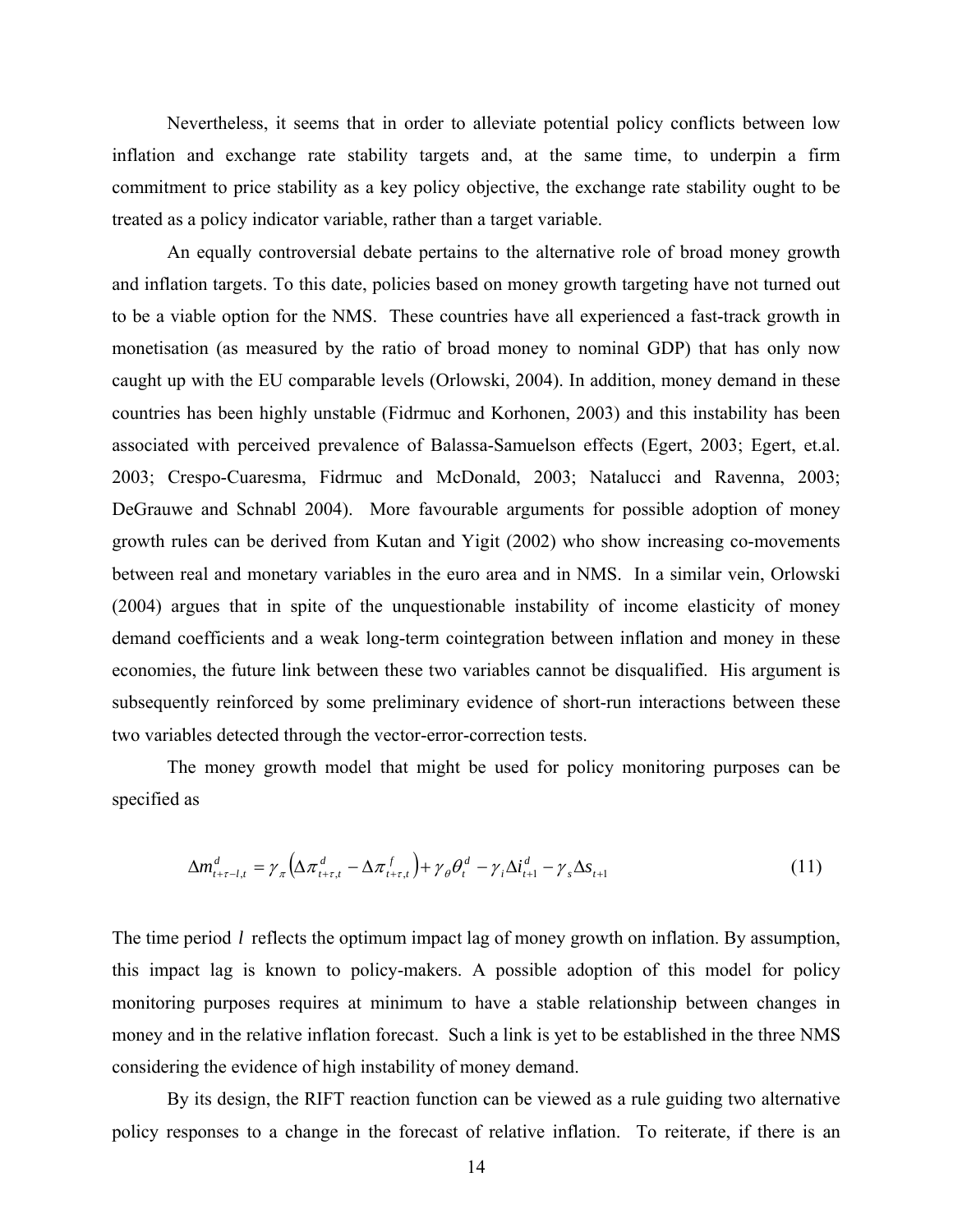Nevertheless, it seems that in order to alleviate potential policy conflicts between low inflation and exchange rate stability targets and, at the same time, to underpin a firm commitment to price stability as a key policy objective, the exchange rate stability ought to be treated as a policy indicator variable, rather than a target variable.

 An equally controversial debate pertains to the alternative role of broad money growth and inflation targets. To this date, policies based on money growth targeting have not turned out to be a viable option for the NMS. These countries have all experienced a fast-track growth in monetisation (as measured by the ratio of broad money to nominal GDP) that has only now caught up with the EU comparable levels (Orlowski, 2004). In addition, money demand in these countries has been highly unstable (Fidrmuc and Korhonen, 2003) and this instability has been associated with perceived prevalence of Balassa-Samuelson effects (Egert, 2003; Egert, et.al. 2003; Crespo-Cuaresma, Fidrmuc and McDonald, 2003; Natalucci and Ravenna, 2003; DeGrauwe and Schnabl 2004). More favourable arguments for possible adoption of money growth rules can be derived from Kutan and Yigit (2002) who show increasing co-movements between real and monetary variables in the euro area and in NMS. In a similar vein, Orlowski (2004) argues that in spite of the unquestionable instability of income elasticity of money demand coefficients and a weak long-term cointegration between inflation and money in these economies, the future link between these two variables cannot be disqualified. His argument is subsequently reinforced by some preliminary evidence of short-run interactions between these two variables detected through the vector-error-correction tests.

The money growth model that might be used for policy monitoring purposes can be specified as

$$
\Delta m_{t+\tau-l,t}^d = \gamma_\pi \Big( \Delta \pi_{t+\tau,t}^d - \Delta \pi_{t+\tau,t}^f \Big) + \gamma_\theta \theta_t^d - \gamma_i \Delta i_{t+1}^d - \gamma_s \Delta s_{t+1} \tag{11}
$$

The time period *l* reflects the optimum impact lag of money growth on inflation. By assumption, this impact lag is known to policy-makers. A possible adoption of this model for policy monitoring purposes requires at minimum to have a stable relationship between changes in money and in the relative inflation forecast. Such a link is yet to be established in the three NMS considering the evidence of high instability of money demand.

By its design, the RIFT reaction function can be viewed as a rule guiding two alternative policy responses to a change in the forecast of relative inflation. To reiterate, if there is an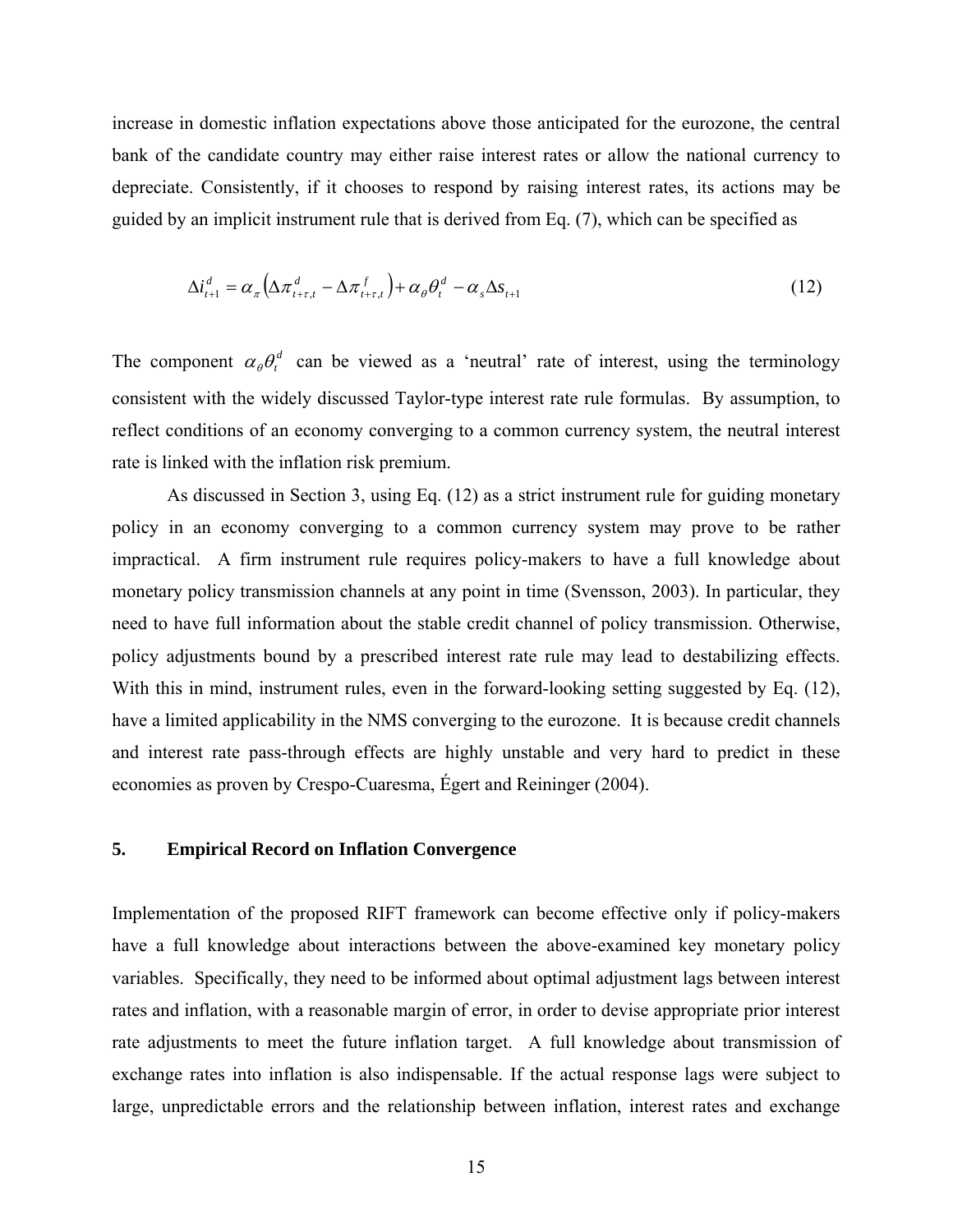increase in domestic inflation expectations above those anticipated for the eurozone, the central bank of the candidate country may either raise interest rates or allow the national currency to depreciate. Consistently, if it chooses to respond by raising interest rates, its actions may be guided by an implicit instrument rule that is derived from Eq. (7), which can be specified as

$$
\Delta i_{t+1}^d = \alpha_{\pi} \left( \Delta \pi_{t+\tau,t}^d - \Delta \pi_{t+\tau,t}^f \right) + \alpha_{\theta} \theta_t^d - \alpha_s \Delta s_{t+1}
$$
\n(12)

The component  $\alpha_{\theta} \theta_t^d$  can be viewed as a 'neutral' rate of interest, using the terminology consistent with the widely discussed Taylor-type interest rate rule formulas. By assumption, to reflect conditions of an economy converging to a common currency system, the neutral interest rate is linked with the inflation risk premium.

 As discussed in Section 3, using Eq. (12) as a strict instrument rule for guiding monetary policy in an economy converging to a common currency system may prove to be rather impractical. A firm instrument rule requires policy-makers to have a full knowledge about monetary policy transmission channels at any point in time (Svensson, 2003). In particular, they need to have full information about the stable credit channel of policy transmission. Otherwise, policy adjustments bound by a prescribed interest rate rule may lead to destabilizing effects. With this in mind, instrument rules, even in the forward-looking setting suggested by Eq. (12), have a limited applicability in the NMS converging to the eurozone. It is because credit channels and interest rate pass-through effects are highly unstable and very hard to predict in these economies as proven by Crespo-Cuaresma, Égert and Reininger (2004).

#### **5. Empirical Record on Inflation Convergence**

Implementation of the proposed RIFT framework can become effective only if policy-makers have a full knowledge about interactions between the above-examined key monetary policy variables. Specifically, they need to be informed about optimal adjustment lags between interest rates and inflation, with a reasonable margin of error, in order to devise appropriate prior interest rate adjustments to meet the future inflation target. A full knowledge about transmission of exchange rates into inflation is also indispensable. If the actual response lags were subject to large, unpredictable errors and the relationship between inflation, interest rates and exchange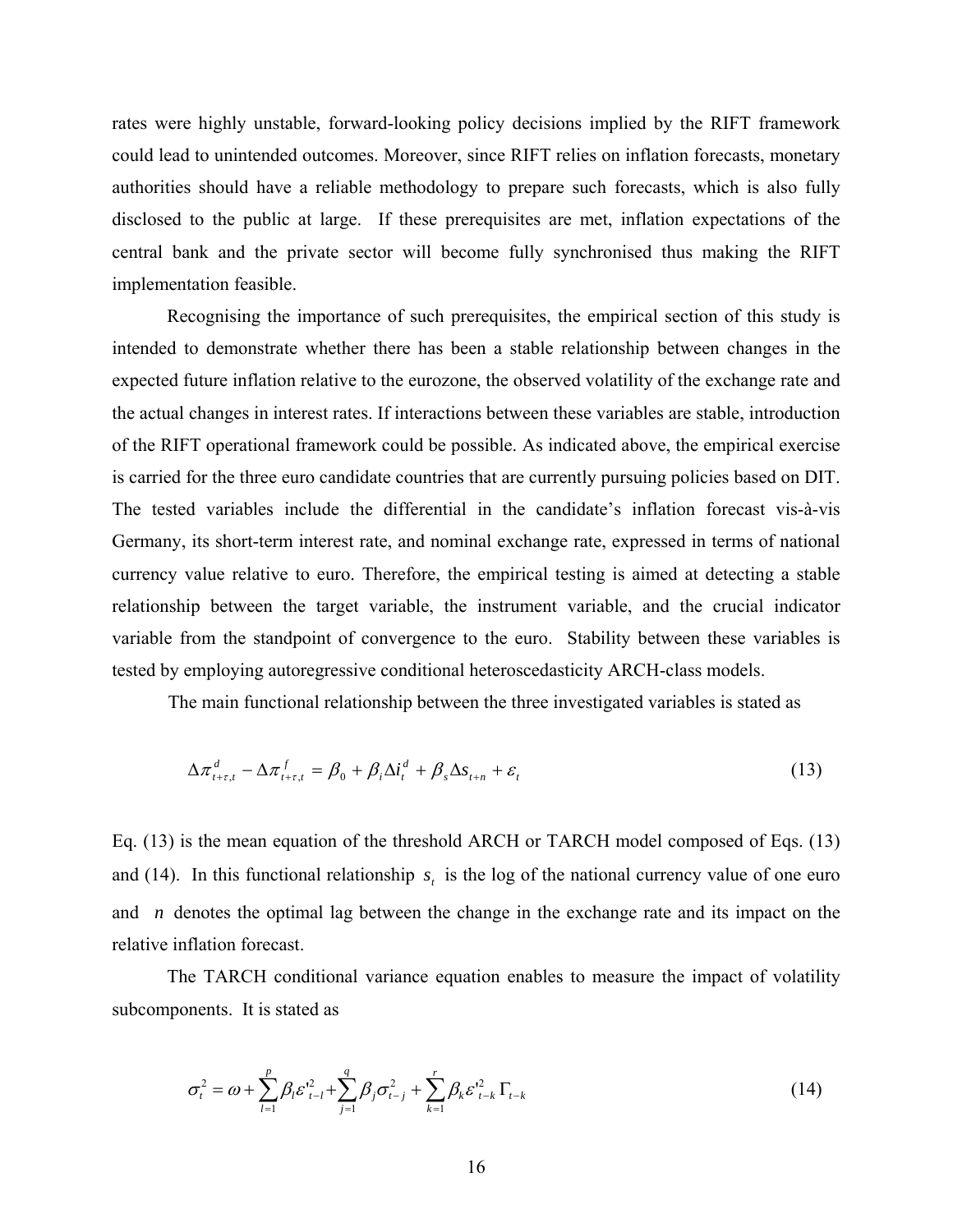rates were highly unstable, forward-looking policy decisions implied by the RIFT framework could lead to unintended outcomes. Moreover, since RIFT relies on inflation forecasts, monetary authorities should have a reliable methodology to prepare such forecasts, which is also fully disclosed to the public at large. If these prerequisites are met, inflation expectations of the central bank and the private sector will become fully synchronised thus making the RIFT implementation feasible.

 Recognising the importance of such prerequisites, the empirical section of this study is intended to demonstrate whether there has been a stable relationship between changes in the expected future inflation relative to the eurozone, the observed volatility of the exchange rate and the actual changes in interest rates. If interactions between these variables are stable, introduction of the RIFT operational framework could be possible. As indicated above, the empirical exercise is carried for the three euro candidate countries that are currently pursuing policies based on DIT. The tested variables include the differential in the candidate's inflation forecast vis-à-vis Germany, its short-term interest rate, and nominal exchange rate, expressed in terms of national currency value relative to euro. Therefore, the empirical testing is aimed at detecting a stable relationship between the target variable, the instrument variable, and the crucial indicator variable from the standpoint of convergence to the euro. Stability between these variables is tested by employing autoregressive conditional heteroscedasticity ARCH-class models.

The main functional relationship between the three investigated variables is stated as

$$
\Delta \pi_{t+\tau,t}^d - \Delta \pi_{t+\tau,t}^f = \beta_0 + \beta_i \Delta i_t^d + \beta_s \Delta s_{t+n} + \varepsilon_t
$$
\n(13)

Eq. (13) is the mean equation of the threshold ARCH or TARCH model composed of Eqs. (13) and (14). In this functional relationship  $s_t$  is the log of the national currency value of one euro and *n* denotes the optimal lag between the change in the exchange rate and its impact on the relative inflation forecast.

The TARCH conditional variance equation enables to measure the impact of volatility subcomponents. It is stated as

$$
\sigma_t^2 = \omega + \sum_{l=1}^p \beta_l \varepsilon_{t-l}^{2} + \sum_{j=1}^q \beta_j \sigma_{t-j}^2 + \sum_{k=1}^r \beta_k \varepsilon_{t-k}^{2} \Gamma_{t-k}
$$
(14)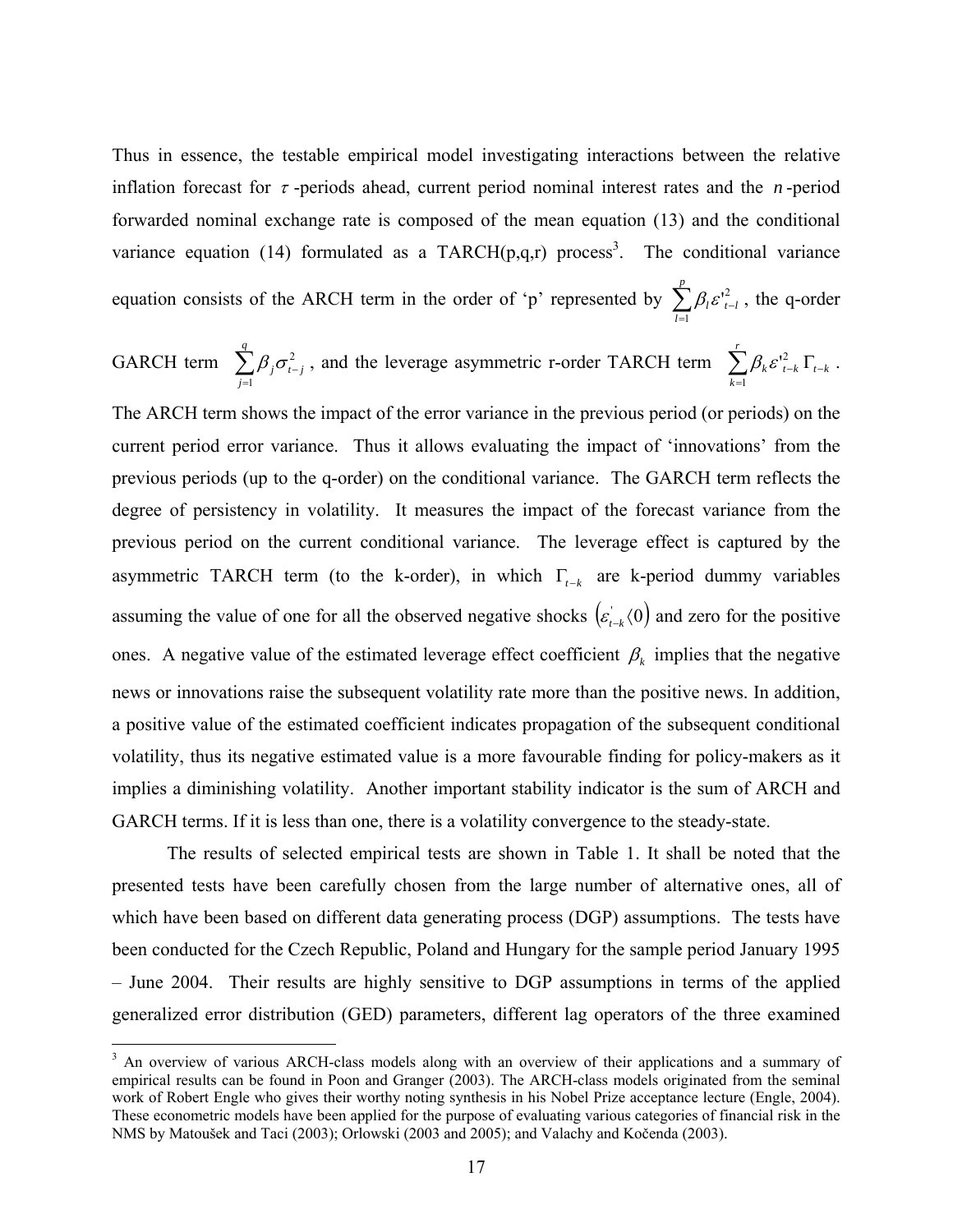Thus in essence, the testable empirical model investigating interactions between the relative inflation forecast for  $\tau$ -periods ahead, current period nominal interest rates and the *n*-period forwarded nominal exchange rate is composed of the mean equation (13) and the conditional variance equation (14) formulated as a TARCH $(p,q,r)$  process<sup>3</sup>. The conditional variance equation consists of the ARCH term in the order of 'p' represented by  $\sum_{l=1}^{n}$ − *p l*  $l^{\mathbf{c}}$   $_{t-l}$ 1  $\beta_i \varepsilon_{i-l}^2$ , the q-order

GARCH term 
$$
\sum_{j=1}^{q} \beta_j \sigma_{t-j}^2
$$
, and the leverage asymmetric r-order TARCH term  $\sum_{k=1}^{r} \beta_k \varepsilon_{t-k}^2 \Gamma_{t-k}$ .

The ARCH term shows the impact of the error variance in the previous period (or periods) on the current period error variance. Thus it allows evaluating the impact of 'innovations' from the previous periods (up to the q-order) on the conditional variance. The GARCH term reflects the degree of persistency in volatility. It measures the impact of the forecast variance from the previous period on the current conditional variance. The leverage effect is captured by the asymmetric TARCH term (to the k-order), in which  $\Gamma_{t-k}$  are k-period dummy variables assuming the value of one for all the observed negative shocks  $(\epsilon_{t-k}^{\prime}(0))$  and zero for the positive ones. A negative value of the estimated leverage effect coefficient  $\beta_k$  implies that the negative news or innovations raise the subsequent volatility rate more than the positive news. In addition, a positive value of the estimated coefficient indicates propagation of the subsequent conditional volatility, thus its negative estimated value is a more favourable finding for policy-makers as it implies a diminishing volatility. Another important stability indicator is the sum of ARCH and GARCH terms. If it is less than one, there is a volatility convergence to the steady-state.

 The results of selected empirical tests are shown in Table 1. It shall be noted that the presented tests have been carefully chosen from the large number of alternative ones, all of which have been based on different data generating process (DGP) assumptions. The tests have been conducted for the Czech Republic, Poland and Hungary for the sample period January 1995 – June 2004. Their results are highly sensitive to DGP assumptions in terms of the applied generalized error distribution (GED) parameters, different lag operators of the three examined

<sup>&</sup>lt;sup>3</sup> An overview of various ARCH-class models along with an overview of their applications and a summary of empirical results can be found in Poon and Granger (2003). The ARCH-class models originated from the seminal work of Robert Engle who gives their worthy noting synthesis in his Nobel Prize acceptance lecture (Engle, 2004). These econometric models have been applied for the purpose of evaluating various categories of financial risk in the NMS by Matoušek and Taci (2003); Orlowski (2003 and 2005); and Valachy and Kočenda (2003).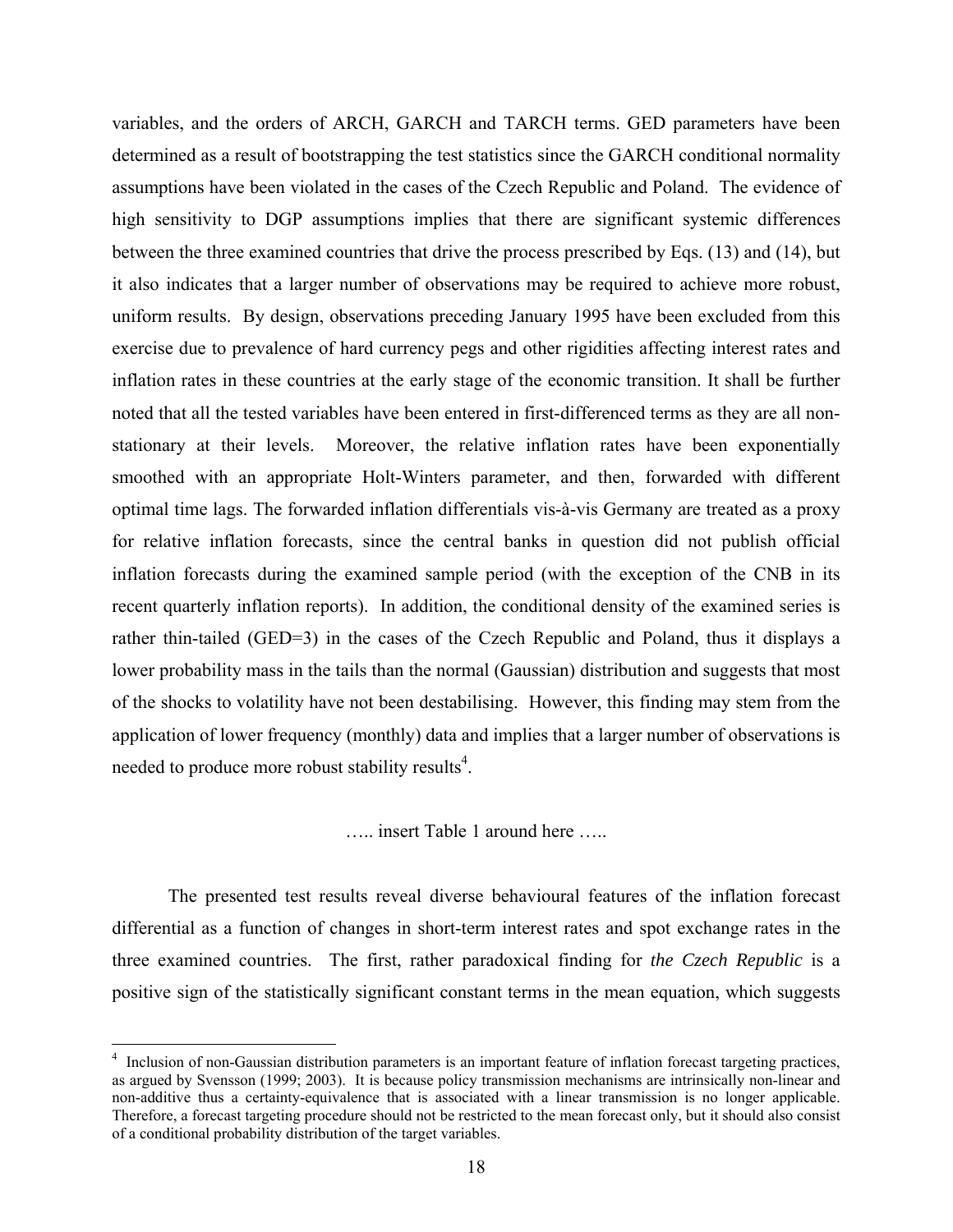variables, and the orders of ARCH, GARCH and TARCH terms. GED parameters have been determined as a result of bootstrapping the test statistics since the GARCH conditional normality assumptions have been violated in the cases of the Czech Republic and Poland. The evidence of high sensitivity to DGP assumptions implies that there are significant systemic differences between the three examined countries that drive the process prescribed by Eqs. (13) and (14), but it also indicates that a larger number of observations may be required to achieve more robust, uniform results. By design, observations preceding January 1995 have been excluded from this exercise due to prevalence of hard currency pegs and other rigidities affecting interest rates and inflation rates in these countries at the early stage of the economic transition. It shall be further noted that all the tested variables have been entered in first-differenced terms as they are all nonstationary at their levels. Moreover, the relative inflation rates have been exponentially smoothed with an appropriate Holt-Winters parameter, and then, forwarded with different optimal time lags. The forwarded inflation differentials vis-à-vis Germany are treated as a proxy for relative inflation forecasts, since the central banks in question did not publish official inflation forecasts during the examined sample period (with the exception of the CNB in its recent quarterly inflation reports). In addition, the conditional density of the examined series is rather thin-tailed (GED=3) in the cases of the Czech Republic and Poland, thus it displays a lower probability mass in the tails than the normal (Gaussian) distribution and suggests that most of the shocks to volatility have not been destabilising. However, this finding may stem from the application of lower frequency (monthly) data and implies that a larger number of observations is needed to produce more robust stability results<sup>4</sup>.

….. insert Table 1 around here …..

The presented test results reveal diverse behavioural features of the inflation forecast differential as a function of changes in short-term interest rates and spot exchange rates in the three examined countries. The first, rather paradoxical finding for *the Czech Republic* is a positive sign of the statistically significant constant terms in the mean equation, which suggests

<sup>&</sup>lt;sup>4</sup> Inclusion of non-Gaussian distribution parameters is an important feature of inflation forecast targeting practices, as argued by Svensson (1999; 2003). It is because policy transmission mechanisms are intrinsically non-linear and non-additive thus a certainty-equivalence that is associated with a linear transmission is no longer applicable. Therefore, a forecast targeting procedure should not be restricted to the mean forecast only, but it should also consist of a conditional probability distribution of the target variables.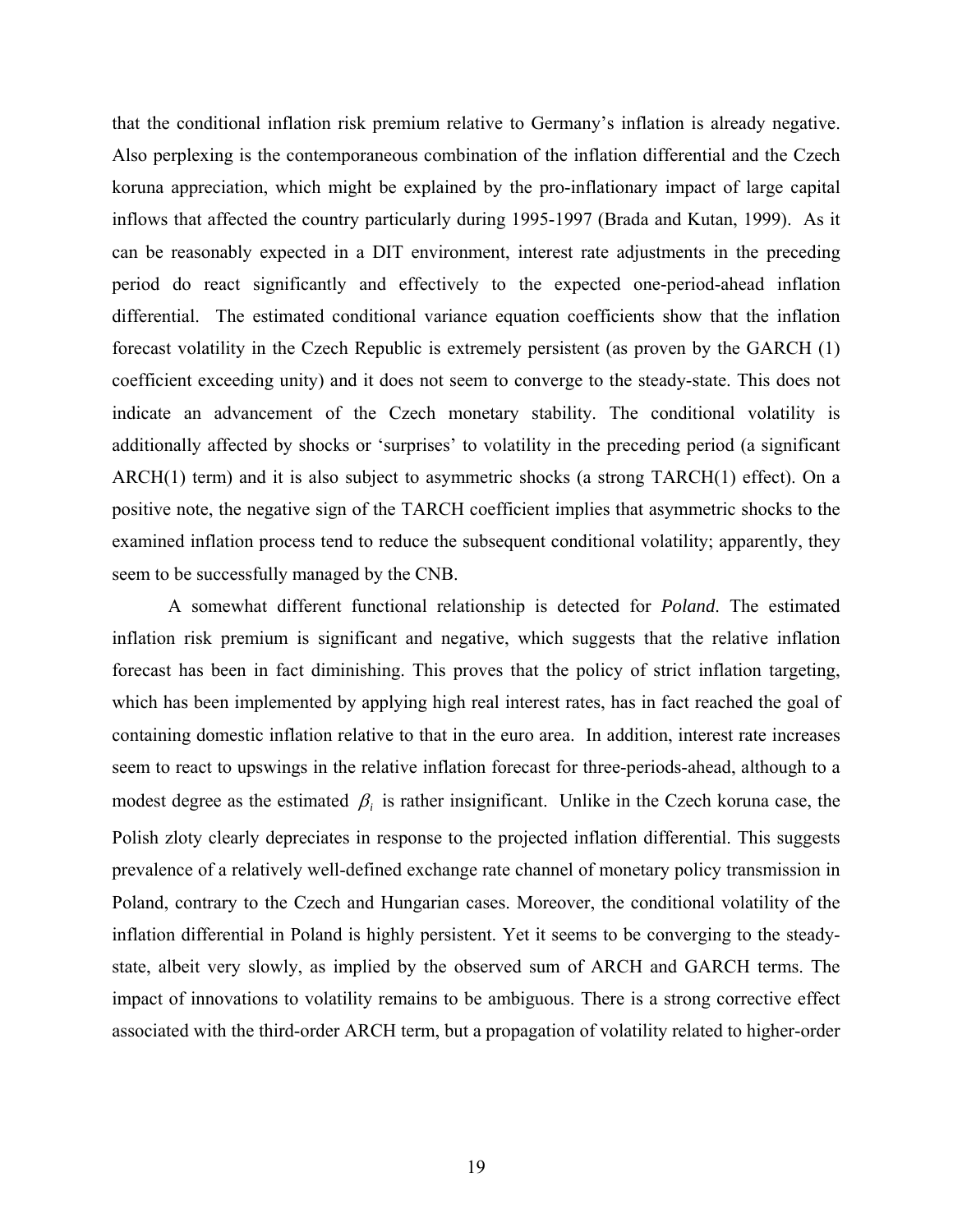that the conditional inflation risk premium relative to Germany's inflation is already negative. Also perplexing is the contemporaneous combination of the inflation differential and the Czech koruna appreciation, which might be explained by the pro-inflationary impact of large capital inflows that affected the country particularly during 1995-1997 (Brada and Kutan, 1999). As it can be reasonably expected in a DIT environment, interest rate adjustments in the preceding period do react significantly and effectively to the expected one-period-ahead inflation differential. The estimated conditional variance equation coefficients show that the inflation forecast volatility in the Czech Republic is extremely persistent (as proven by the GARCH (1) coefficient exceeding unity) and it does not seem to converge to the steady-state. This does not indicate an advancement of the Czech monetary stability. The conditional volatility is additionally affected by shocks or 'surprises' to volatility in the preceding period (a significant ARCH(1) term) and it is also subject to asymmetric shocks (a strong TARCH(1) effect). On a positive note, the negative sign of the TARCH coefficient implies that asymmetric shocks to the examined inflation process tend to reduce the subsequent conditional volatility; apparently, they seem to be successfully managed by the CNB.

A somewhat different functional relationship is detected for *Poland*. The estimated inflation risk premium is significant and negative, which suggests that the relative inflation forecast has been in fact diminishing. This proves that the policy of strict inflation targeting, which has been implemented by applying high real interest rates, has in fact reached the goal of containing domestic inflation relative to that in the euro area. In addition, interest rate increases seem to react to upswings in the relative inflation forecast for three-periods-ahead, although to a modest degree as the estimated  $\beta_i$  is rather insignificant. Unlike in the Czech koruna case, the Polish zloty clearly depreciates in response to the projected inflation differential. This suggests prevalence of a relatively well-defined exchange rate channel of monetary policy transmission in Poland, contrary to the Czech and Hungarian cases. Moreover, the conditional volatility of the inflation differential in Poland is highly persistent. Yet it seems to be converging to the steadystate, albeit very slowly, as implied by the observed sum of ARCH and GARCH terms. The impact of innovations to volatility remains to be ambiguous. There is a strong corrective effect associated with the third-order ARCH term, but a propagation of volatility related to higher-order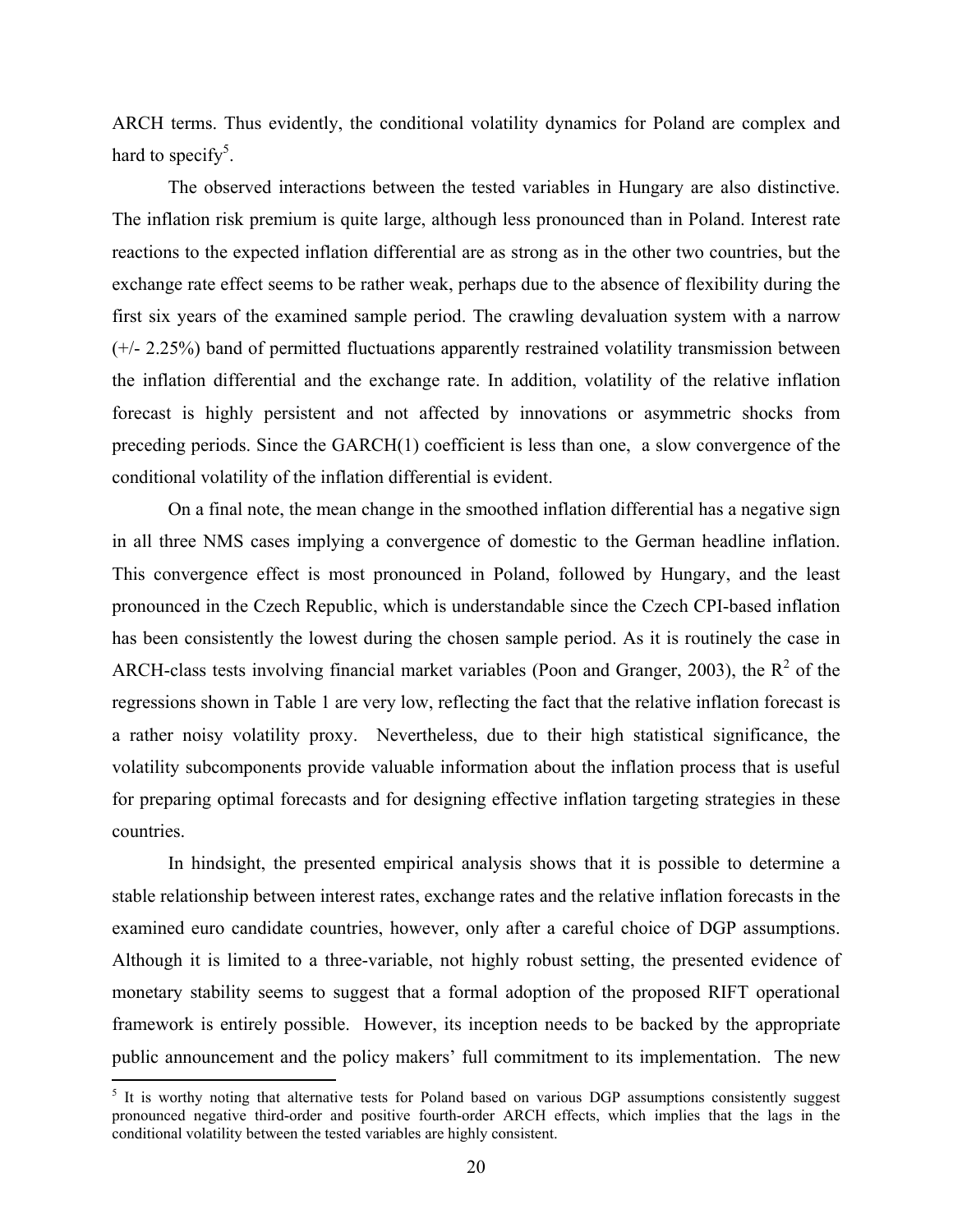ARCH terms. Thus evidently, the conditional volatility dynamics for Poland are complex and hard to specify<sup>5</sup>.

The observed interactions between the tested variables in Hungary are also distinctive. The inflation risk premium is quite large, although less pronounced than in Poland. Interest rate reactions to the expected inflation differential are as strong as in the other two countries, but the exchange rate effect seems to be rather weak, perhaps due to the absence of flexibility during the first six years of the examined sample period. The crawling devaluation system with a narrow (+/- 2.25%) band of permitted fluctuations apparently restrained volatility transmission between the inflation differential and the exchange rate. In addition, volatility of the relative inflation forecast is highly persistent and not affected by innovations or asymmetric shocks from preceding periods. Since the GARCH(1) coefficient is less than one, a slow convergence of the conditional volatility of the inflation differential is evident.

On a final note, the mean change in the smoothed inflation differential has a negative sign in all three NMS cases implying a convergence of domestic to the German headline inflation. This convergence effect is most pronounced in Poland, followed by Hungary, and the least pronounced in the Czech Republic, which is understandable since the Czech CPI-based inflation has been consistently the lowest during the chosen sample period. As it is routinely the case in ARCH-class tests involving financial market variables (Poon and Granger, 2003), the  $R^2$  of the regressions shown in Table 1 are very low, reflecting the fact that the relative inflation forecast is a rather noisy volatility proxy. Nevertheless, due to their high statistical significance, the volatility subcomponents provide valuable information about the inflation process that is useful for preparing optimal forecasts and for designing effective inflation targeting strategies in these countries.

In hindsight, the presented empirical analysis shows that it is possible to determine a stable relationship between interest rates, exchange rates and the relative inflation forecasts in the examined euro candidate countries, however, only after a careful choice of DGP assumptions. Although it is limited to a three-variable, not highly robust setting, the presented evidence of monetary stability seems to suggest that a formal adoption of the proposed RIFT operational framework is entirely possible. However, its inception needs to be backed by the appropriate public announcement and the policy makers' full commitment to its implementation. The new

<sup>&</sup>lt;sup>5</sup> It is worthy noting that alternative tests for Poland based on various DGP assumptions consistently suggest pronounced negative third-order and positive fourth-order ARCH effects, which implies that the lags in the conditional volatility between the tested variables are highly consistent.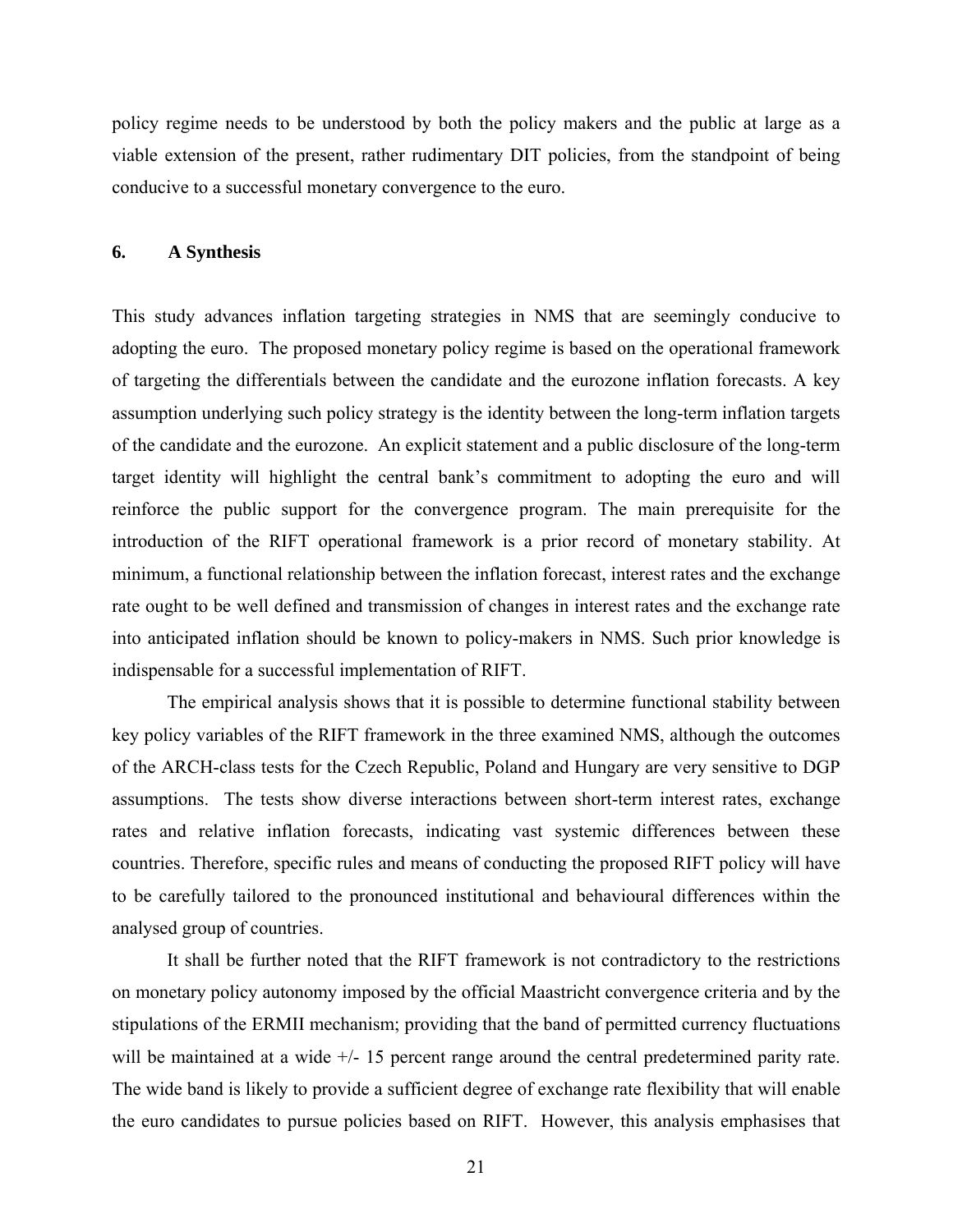policy regime needs to be understood by both the policy makers and the public at large as a viable extension of the present, rather rudimentary DIT policies, from the standpoint of being conducive to a successful monetary convergence to the euro.

#### **6. A Synthesis**

This study advances inflation targeting strategies in NMS that are seemingly conducive to adopting the euro. The proposed monetary policy regime is based on the operational framework of targeting the differentials between the candidate and the eurozone inflation forecasts. A key assumption underlying such policy strategy is the identity between the long-term inflation targets of the candidate and the eurozone. An explicit statement and a public disclosure of the long-term target identity will highlight the central bank's commitment to adopting the euro and will reinforce the public support for the convergence program. The main prerequisite for the introduction of the RIFT operational framework is a prior record of monetary stability. At minimum, a functional relationship between the inflation forecast, interest rates and the exchange rate ought to be well defined and transmission of changes in interest rates and the exchange rate into anticipated inflation should be known to policy-makers in NMS. Such prior knowledge is indispensable for a successful implementation of RIFT.

 The empirical analysis shows that it is possible to determine functional stability between key policy variables of the RIFT framework in the three examined NMS, although the outcomes of the ARCH-class tests for the Czech Republic, Poland and Hungary are very sensitive to DGP assumptions. The tests show diverse interactions between short-term interest rates, exchange rates and relative inflation forecasts, indicating vast systemic differences between these countries. Therefore, specific rules and means of conducting the proposed RIFT policy will have to be carefully tailored to the pronounced institutional and behavioural differences within the analysed group of countries.

 It shall be further noted that the RIFT framework is not contradictory to the restrictions on monetary policy autonomy imposed by the official Maastricht convergence criteria and by the stipulations of the ERMII mechanism; providing that the band of permitted currency fluctuations will be maintained at a wide  $+/- 15$  percent range around the central predetermined parity rate. The wide band is likely to provide a sufficient degree of exchange rate flexibility that will enable the euro candidates to pursue policies based on RIFT. However, this analysis emphasises that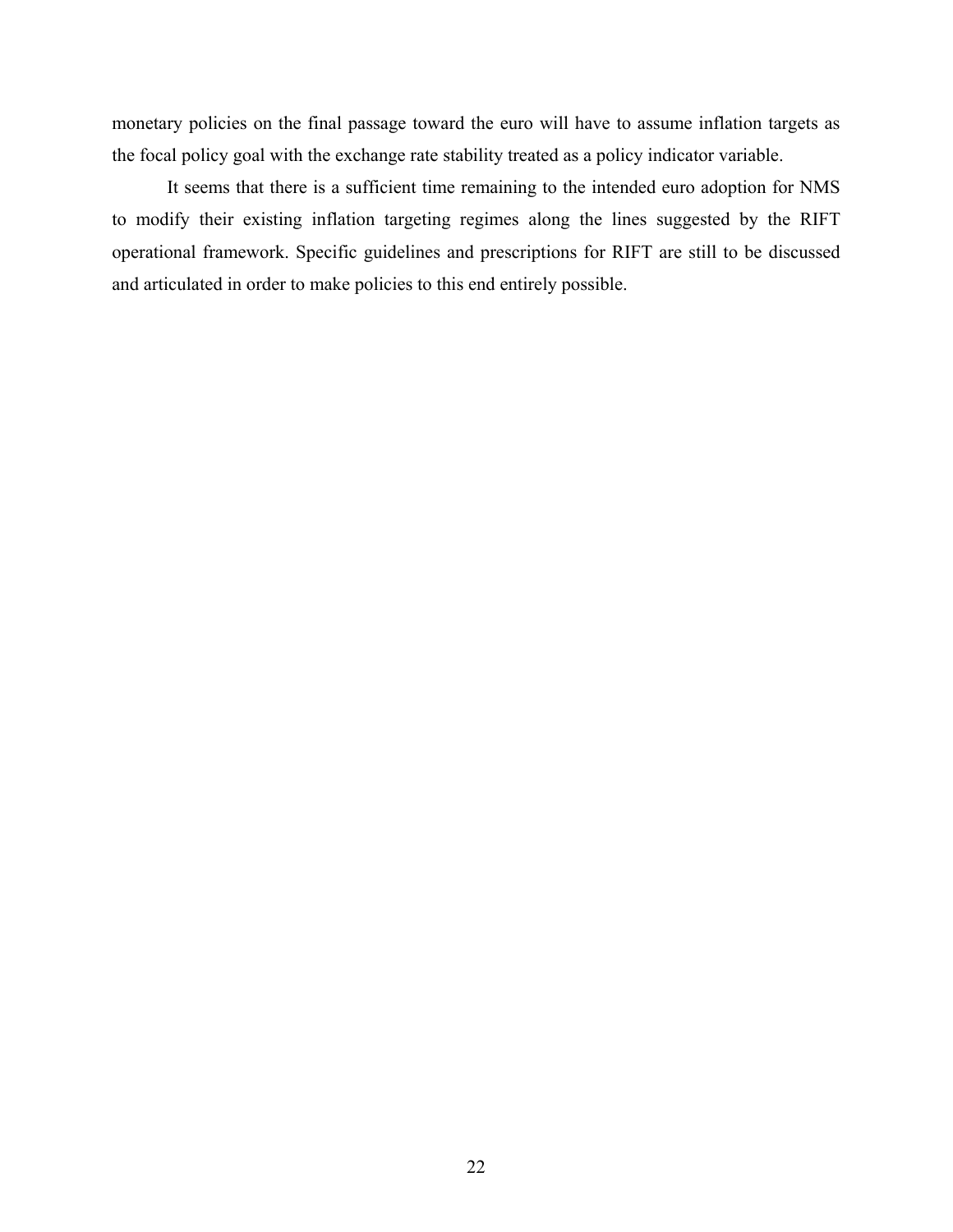monetary policies on the final passage toward the euro will have to assume inflation targets as the focal policy goal with the exchange rate stability treated as a policy indicator variable.

 It seems that there is a sufficient time remaining to the intended euro adoption for NMS to modify their existing inflation targeting regimes along the lines suggested by the RIFT operational framework. Specific guidelines and prescriptions for RIFT are still to be discussed and articulated in order to make policies to this end entirely possible.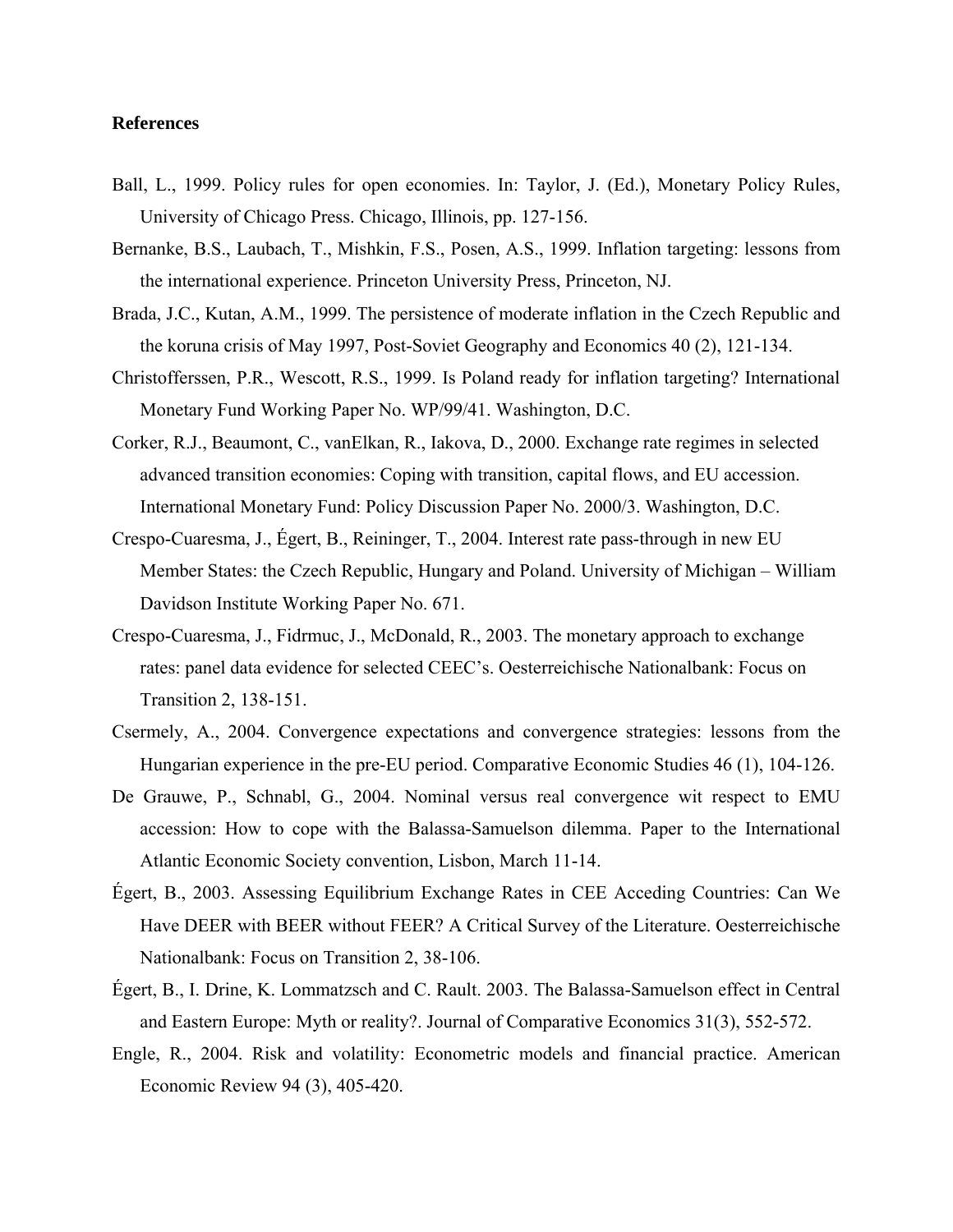#### **References**

- Ball, L., 1999. Policy rules for open economies. In: Taylor, J. (Ed.), Monetary Policy Rules, University of Chicago Press. Chicago, Illinois, pp. 127-156.
- Bernanke, B.S., Laubach, T., Mishkin, F.S., Posen, A.S., 1999. Inflation targeting: lessons from the international experience. Princeton University Press, Princeton, NJ.
- Brada, J.C., Kutan, A.M., 1999. The persistence of moderate inflation in the Czech Republic and the koruna crisis of May 1997, Post-Soviet Geography and Economics 40 (2), 121-134.
- Christofferssen, P.R., Wescott, R.S., 1999. Is Poland ready for inflation targeting? International Monetary Fund Working Paper No. WP/99/41. Washington, D.C.
- Corker, R.J., Beaumont, C., vanElkan, R., Iakova, D., 2000. Exchange rate regimes in selected advanced transition economies: Coping with transition, capital flows, and EU accession. International Monetary Fund: Policy Discussion Paper No. 2000/3. Washington, D.C.
- Crespo-Cuaresma, J., Égert, B., Reininger, T., 2004. Interest rate pass-through in new EU Member States: the Czech Republic, Hungary and Poland. University of Michigan – William Davidson Institute Working Paper No. 671.
- Crespo-Cuaresma, J., Fidrmuc, J., McDonald, R., 2003. The monetary approach to exchange rates: panel data evidence for selected CEEC's. Oesterreichische Nationalbank: Focus on Transition 2, 138-151.
- Csermely, A., 2004. Convergence expectations and convergence strategies: lessons from the Hungarian experience in the pre-EU period. Comparative Economic Studies 46 (1), 104-126.
- De Grauwe, P., Schnabl, G., 2004. Nominal versus real convergence wit respect to EMU accession: How to cope with the Balassa-Samuelson dilemma. Paper to the International Atlantic Economic Society convention, Lisbon, March 11-14.
- Égert, B., 2003. Assessing Equilibrium Exchange Rates in CEE Acceding Countries: Can We Have DEER with BEER without FEER? A Critical Survey of the Literature. Oesterreichische Nationalbank: Focus on Transition 2, 38-106.
- Égert, B., I. Drine, K. Lommatzsch and C. Rault. 2003. The Balassa-Samuelson effect in Central and Eastern Europe: Myth or reality?. Journal of Comparative Economics 31(3), 552-572.
- Engle, R., 2004. Risk and volatility: Econometric models and financial practice. American Economic Review 94 (3), 405-420.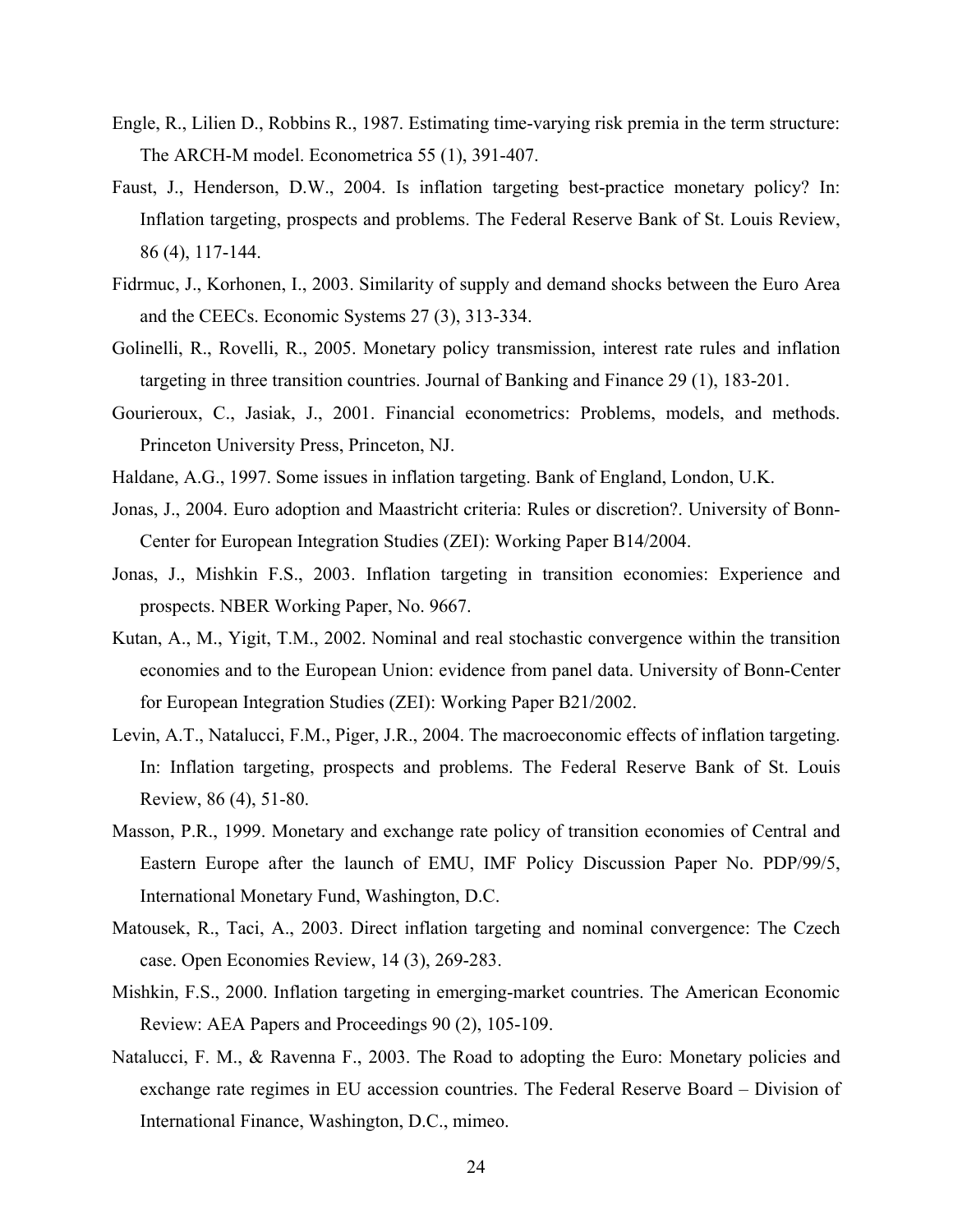- Engle, R., Lilien D., Robbins R., 1987. Estimating time-varying risk premia in the term structure: The ARCH-M model. Econometrica 55 (1), 391-407.
- Faust, J., Henderson, D.W., 2004. Is inflation targeting best-practice monetary policy? In: Inflation targeting, prospects and problems. The Federal Reserve Bank of St. Louis Review, 86 (4), 117-144.
- Fidrmuc, J., Korhonen, I., 2003. Similarity of supply and demand shocks between the Euro Area and the CEECs. Economic Systems 27 (3), 313-334.
- Golinelli, R., Rovelli, R., 2005. Monetary policy transmission, interest rate rules and inflation targeting in three transition countries. Journal of Banking and Finance 29 (1), 183-201.
- Gourieroux, C., Jasiak, J., 2001. Financial econometrics: Problems, models, and methods. Princeton University Press, Princeton, NJ.
- Haldane, A.G., 1997. Some issues in inflation targeting. Bank of England, London, U.K.
- Jonas, J., 2004. Euro adoption and Maastricht criteria: Rules or discretion?. University of Bonn-Center for European Integration Studies (ZEI): Working Paper B14/2004.
- Jonas, J., Mishkin F.S., 2003. Inflation targeting in transition economies: Experience and prospects. NBER Working Paper, No. 9667.
- Kutan, A., M., Yigit, T.M., 2002. Nominal and real stochastic convergence within the transition economies and to the European Union: evidence from panel data. University of Bonn-Center for European Integration Studies (ZEI): Working Paper B21/2002.
- Levin, A.T., Natalucci, F.M., Piger, J.R., 2004. The macroeconomic effects of inflation targeting. In: Inflation targeting, prospects and problems. The Federal Reserve Bank of St. Louis Review, 86 (4), 51-80.
- Masson, P.R., 1999. Monetary and exchange rate policy of transition economies of Central and Eastern Europe after the launch of EMU, IMF Policy Discussion Paper No. PDP/99/5, International Monetary Fund, Washington, D.C.
- Matousek, R., Taci, A., 2003. Direct inflation targeting and nominal convergence: The Czech case. Open Economies Review, 14 (3), 269-283.
- Mishkin, F.S., 2000. Inflation targeting in emerging-market countries. The American Economic Review: AEA Papers and Proceedings 90 (2), 105-109.
- Natalucci, F. M., & Ravenna F., 2003. The Road to adopting the Euro: Monetary policies and exchange rate regimes in EU accession countries. The Federal Reserve Board – Division of International Finance, Washington, D.C., mimeo.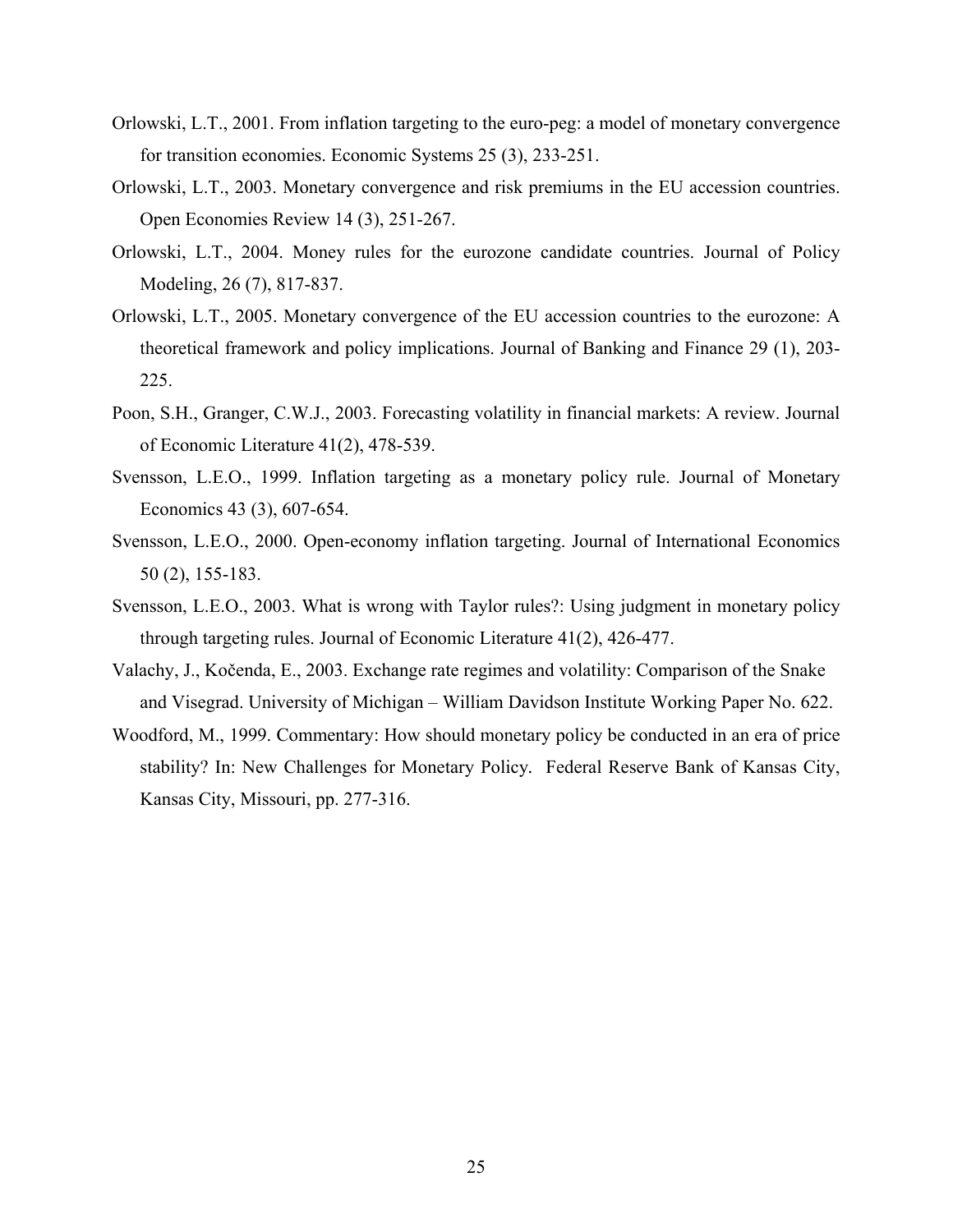- Orlowski, L.T., 2001. From inflation targeting to the euro-peg: a model of monetary convergence for transition economies. Economic Systems 25 (3), 233-251.
- Orlowski, L.T., 2003. Monetary convergence and risk premiums in the EU accession countries. Open Economies Review 14 (3), 251-267.
- Orlowski, L.T., 2004. Money rules for the eurozone candidate countries. Journal of Policy Modeling, 26 (7), 817-837.
- Orlowski, L.T., 2005. Monetary convergence of the EU accession countries to the eurozone: A theoretical framework and policy implications. Journal of Banking and Finance 29 (1), 203- 225.
- Poon, S.H., Granger, C.W.J., 2003. Forecasting volatility in financial markets: A review. Journal of Economic Literature 41(2), 478-539.
- Svensson, L.E.O., 1999. Inflation targeting as a monetary policy rule. Journal of Monetary Economics 43 (3), 607-654.
- Svensson, L.E.O., 2000. Open-economy inflation targeting. Journal of International Economics 50 (2), 155-183.
- Svensson, L.E.O., 2003. What is wrong with Taylor rules?: Using judgment in monetary policy through targeting rules. Journal of Economic Literature 41(2), 426-477.
- Valachy, J., Kočenda, E., 2003. Exchange rate regimes and volatility: Comparison of the Snake and Visegrad. University of Michigan – William Davidson Institute Working Paper No. 622.
- Woodford, M., 1999. Commentary: How should monetary policy be conducted in an era of price stability? In: New Challenges for Monetary Policy*.* Federal Reserve Bank of Kansas City, Kansas City, Missouri, pp. 277-316.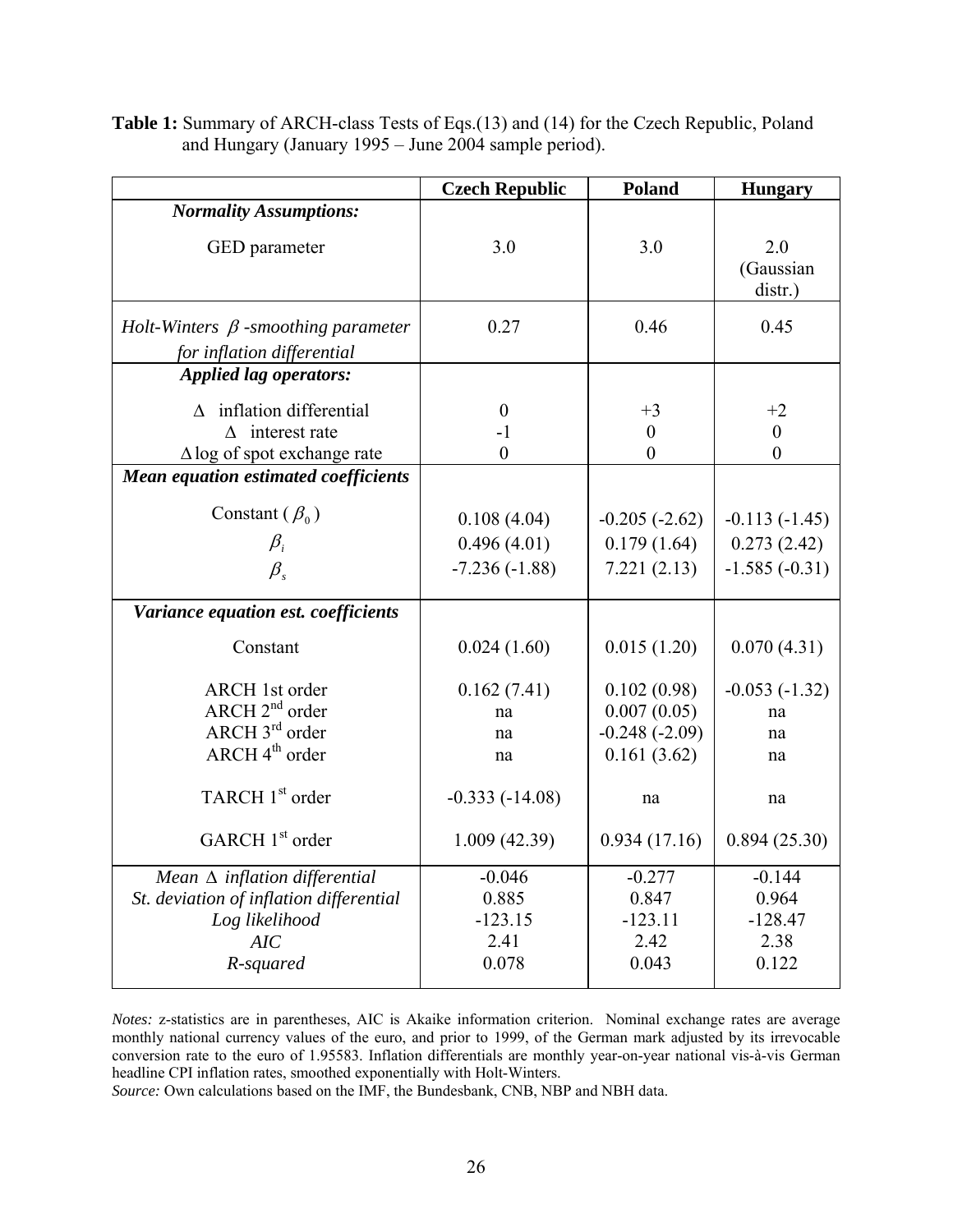|                                                                                                                           | <b>Czech Republic</b>                           | <b>Poland</b>                                                | <b>Hungary</b>                                    |
|---------------------------------------------------------------------------------------------------------------------------|-------------------------------------------------|--------------------------------------------------------------|---------------------------------------------------|
| <b>Normality Assumptions:</b>                                                                                             |                                                 |                                                              |                                                   |
| GED parameter                                                                                                             | 3.0                                             | 3.0                                                          | 2.0<br>(Gaussian<br>distr.)                       |
| Holt-Winters $\beta$ -smoothing parameter<br>for inflation differential                                                   | 0.27                                            | 0.46                                                         | 0.45                                              |
| <b>Applied lag operators:</b>                                                                                             |                                                 |                                                              |                                                   |
| $\triangle$ inflation differential<br>$\Delta$ interest rate<br>$\Delta$ log of spot exchange rate                        | $\boldsymbol{0}$<br>$-1$<br>$\boldsymbol{0}$    | $+3$<br>$\boldsymbol{0}$<br>$\overline{0}$                   | $+2$<br>$\boldsymbol{0}$<br>$\overline{0}$        |
| <b>Mean equation estimated coefficients</b>                                                                               |                                                 |                                                              |                                                   |
| Constant ( $\beta_0$ )<br>$\beta_i$<br>$\beta$ .                                                                          | 0.108(4.04)<br>0.496(4.01)<br>$-7.236(-1.88)$   | $-0.205(-2.62)$<br>0.179(1.64)<br>7.221(2.13)                | $-0.113(-1.45)$<br>0.273(2.42)<br>$-1.585(-0.31)$ |
| Variance equation est. coefficients                                                                                       |                                                 |                                                              |                                                   |
| Constant                                                                                                                  | 0.024(1.60)                                     | 0.015(1.20)                                                  | 0.070(4.31)                                       |
| <b>ARCH</b> 1st order<br>$\text{ARCH } 2^{\text{nd}}$ order<br>ARCH 3 <sup>rd</sup> order<br>$ARCH$ 4 <sup>th</sup> order | 0.162(7.41)<br>na<br>na<br>na                   | 0.102(0.98)<br>0.007(0.05)<br>$-0.248(-2.09)$<br>0.161(3.62) | $-0.053(-1.32)$<br>na<br>na<br>na                 |
| TARCH 1 <sup>st</sup> order                                                                                               | $-0.333(-14.08)$                                | na                                                           | na                                                |
| GARCH 1 <sup>st</sup> order                                                                                               | 1.009(42.39)                                    | 0.934(17.16)                                                 | 0.894(25.30)                                      |
| Mean $\Delta$ inflation differential<br>St. deviation of inflation differential<br>Log likelihood<br>AIC<br>R-squared     | $-0.046$<br>0.885<br>$-123.15$<br>2.41<br>0.078 | $-0.277$<br>0.847<br>$-123.11$<br>2.42<br>0.043              | $-0.144$<br>0.964<br>$-128.47$<br>2.38<br>0.122   |

**Table 1:** Summary of ARCH-class Tests of Eqs.(13) and (14) for the Czech Republic, Poland and Hungary (January 1995 – June 2004 sample period).

*Notes:* z-statistics are in parentheses, AIC is Akaike information criterion. Nominal exchange rates are average monthly national currency values of the euro, and prior to 1999, of the German mark adjusted by its irrevocable conversion rate to the euro of 1.95583. Inflation differentials are monthly year-on-year national vis-à-vis German headline CPI inflation rates, smoothed exponentially with Holt-Winters.

*Source:* Own calculations based on the IMF, the Bundesbank, CNB, NBP and NBH data.